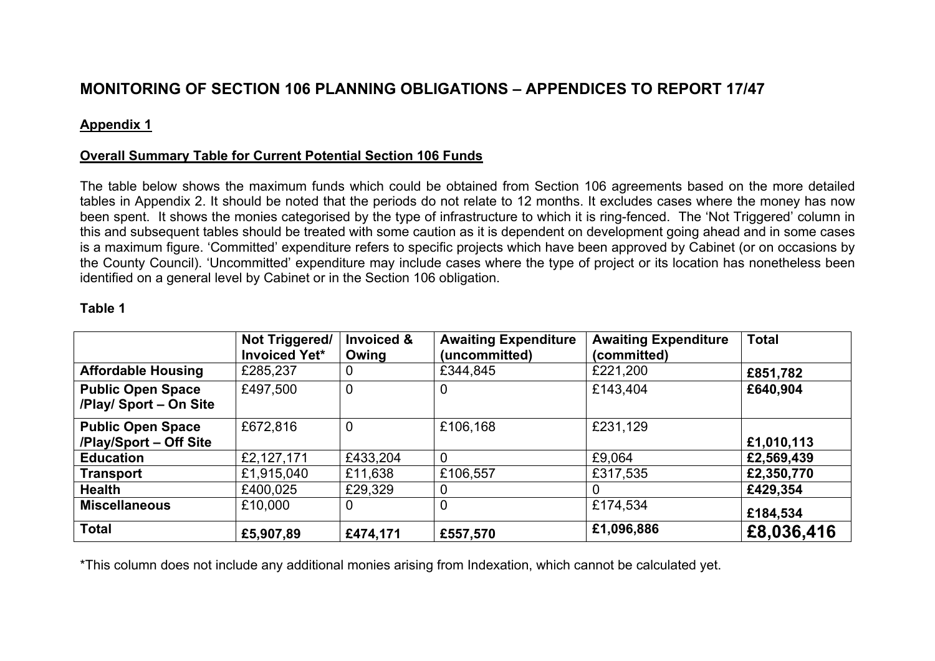# **MONITORING OF SECTION 106 PLANNING OBLIGATIONS – APPENDICES TO REPORT 17/47**

#### **Appendix 1**

### **Overall Summary Table for Current Potential Section 106 Funds**

The table below shows the maximum funds which could be obtained from Section 106 agreements based on the more detailed tables in Appendix 2. It should be noted that the periods do not relate to 12 months. It excludes cases where the money has now been spent. It shows the monies categorised by the type of infrastructure to which it is ring-fenced. The 'Not Triggered' column in this and subsequent tables should be treated with some caution as it is dependent on development going ahead and in some cases is a maximum figure. 'Committed' expenditure refers to specific projects which have been approved by Cabinet (or on occasions by the County Council). 'Uncommitted' expenditure may include cases where the type of project or its location has nonetheless been identified on a general level by Cabinet or in the Section 106 obligation.

#### **Table 1**

|                                                    | Not Triggered/<br><b>Invoiced Yet*</b> | <b>Invoiced &amp;</b><br>Owing | <b>Awaiting Expenditure</b><br>(uncommitted) | <b>Awaiting Expenditure</b><br>(committed) | <b>Total</b> |
|----------------------------------------------------|----------------------------------------|--------------------------------|----------------------------------------------|--------------------------------------------|--------------|
| <b>Affordable Housing</b>                          | £285,237                               | 0                              | £344,845                                     | £221,200                                   | £851,782     |
| <b>Public Open Space</b><br>/Play/ Sport - On Site | £497,500                               | $\overline{0}$                 | 0                                            | £143,404                                   | £640,904     |
| <b>Public Open Space</b><br>/Play/Sport - Off Site | £672,816                               | $\overline{0}$                 | £106,168                                     | £231,129                                   | £1,010,113   |
| <b>Education</b>                                   | £2,127,171                             | £433,204                       | $\mathbf 0$                                  | £9,064                                     | £2,569,439   |
| <b>Transport</b>                                   | £1,915,040                             | £11,638                        | £106,557                                     | £317,535                                   | £2,350,770   |
| <b>Health</b>                                      | £400,025                               | £29,329                        | O                                            | 0                                          | £429,354     |
| <b>Miscellaneous</b>                               | £10,000                                | $\mathbf 0$                    | 0                                            | £174,534                                   | £184,534     |
| <b>Total</b>                                       | £5,907,89                              | £474,171                       | £557,570                                     | £1,096,886                                 | £8,036,416   |

\*This column does not include any additional monies arising from Indexation, which cannot be calculated yet.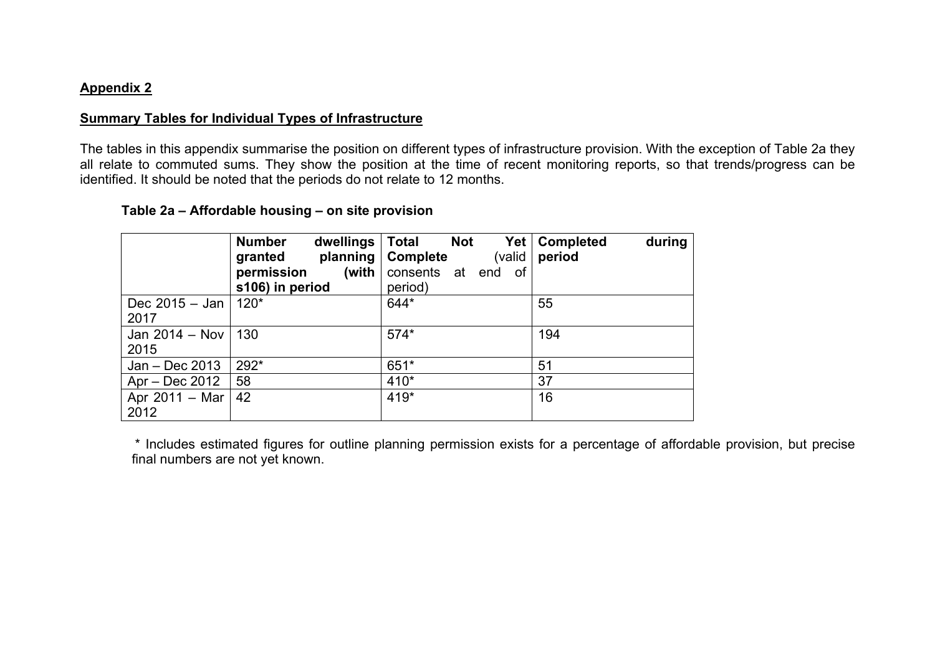#### **Appendix 2**

#### **Summary Tables for Individual Types of Infrastructure**

The tables in this appendix summarise the position on different types of infrastructure provision. With the exception of Table 2a they all relate to commuted sums. They show the position at the time of recent monitoring reports, so that trends/progress can be identified. It should be noted that the periods do not relate to 12 months.

#### **Table 2a – Affordable housing – on site provision**

|                                | <b>Number</b><br>dwellings<br>planning<br>granted<br>(with<br>permission<br>s106) in period | <b>Total</b><br><b>Not</b><br>Yet  <br><b>Complete</b><br>(valid<br>consents at end<br>0f<br>period) | during<br><b>Completed</b><br>period |
|--------------------------------|---------------------------------------------------------------------------------------------|------------------------------------------------------------------------------------------------------|--------------------------------------|
| Dec 2015 – Jan  <br>2017       | $120*$                                                                                      | 644*                                                                                                 | 55                                   |
| Jan 2014 – Nov $\vert$<br>2015 | 130                                                                                         | $574*$                                                                                               | 194                                  |
| Jan - Dec 2013                 | 292*                                                                                        | 651*                                                                                                 | 51                                   |
| Apr – Dec 2012                 | 58                                                                                          | 410*                                                                                                 | 37                                   |
| Apr 2011 – Mar<br>2012         | 42                                                                                          | 419*                                                                                                 | 16                                   |

\* Includes estimated figures for outline planning permission exists for a percentage of affordable provision, but precise final numbers are not yet known.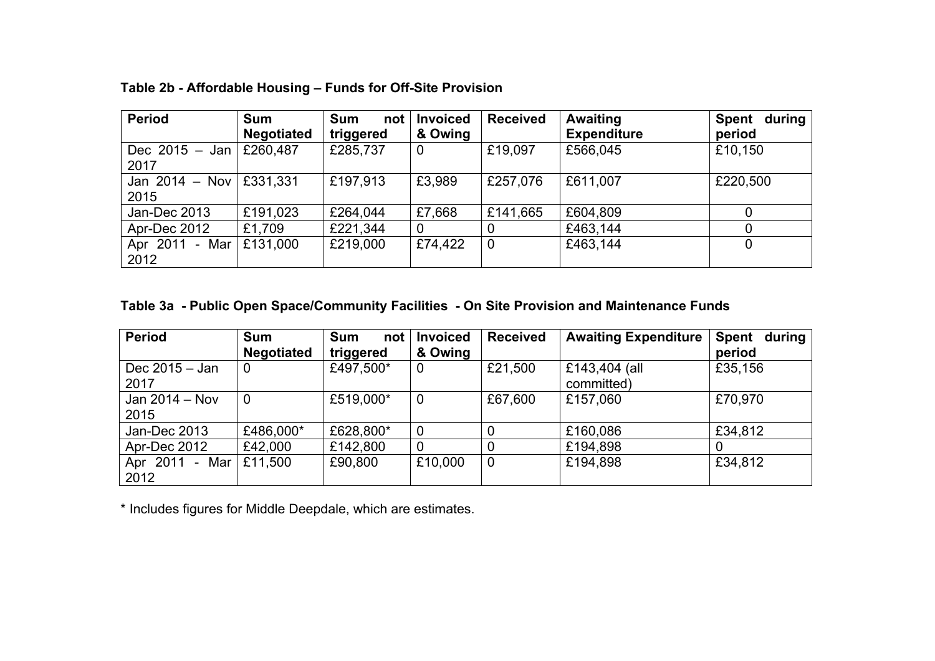| <b>Period</b>            | <b>Sum</b>        | <b>Sum</b><br>not | <b>Invoiced</b> | <b>Received</b> | <b>Awaiting</b>    | during<br><b>Spent</b> |
|--------------------------|-------------------|-------------------|-----------------|-----------------|--------------------|------------------------|
|                          | <b>Negotiated</b> | triggered         | & Owing         |                 | <b>Expenditure</b> | period                 |
| Dec 2015 $-$ Jan<br>2017 | £260,487          | £285,737          | $\mathbf 0$     | £19,097         | £566,045           | £10,150                |
| Jan $2014 - Nov$<br>2015 | £331,331          | £197,913          | £3,989          | £257,076        | £611,007           | £220,500               |
| Jan-Dec 2013             | £191,023          | £264,044          | £7,668          | £141,665        | £604,809           |                        |
| Apr-Dec 2012             | £1,709            | £221,344          | $\overline{0}$  | $\overline{0}$  | £463,144           |                        |
| Apr 2011 - Mar<br>2012   | £131,000          | £219,000          | £74,422         | $\overline{0}$  | £463,144           | 0                      |

 **Table 2b - Affordable Housing – Funds for Off-Site Provision**

# **Table 3a - Public Open Space/Community Facilities - On Site Provision and Maintenance Funds**

| <b>Period</b>     | <b>Sum</b>        | <b>Sum</b><br>not | <b>Invoiced</b> | <b>Received</b> | <b>Awaiting Expenditure</b> | during<br><b>Spent</b> |
|-------------------|-------------------|-------------------|-----------------|-----------------|-----------------------------|------------------------|
|                   | <b>Negotiated</b> | triggered         | & Owing         |                 |                             | period                 |
| Dec $2015 -$ Jan  | 0                 | £497,500*         | $\mathbf 0$     | £21,500         | £143,404 (all               | £35,156                |
| 2017              |                   |                   |                 |                 | committed)                  |                        |
| Jan $2014 - Nov$  | $\mathbf 0$       | £519,000*         | $\overline{0}$  | £67,600         | £157,060                    | £70,970                |
| 2015              |                   |                   |                 |                 |                             |                        |
| Jan-Dec 2013      | £486,000*         | £628,800*         | $\mathbf 0$     | $\overline{0}$  | £160,086                    | £34,812                |
| Apr-Dec 2012      | £42,000           | £142,800          | $\overline{0}$  | $\overline{0}$  | £194,898                    |                        |
| Apr 2011<br>- Mar | £11,500           | £90,800           | £10,000         | $\mathbf 0$     | £194,898                    | £34,812                |
| 2012              |                   |                   |                 |                 |                             |                        |

\* Includes figures for Middle Deepdale, which are estimates.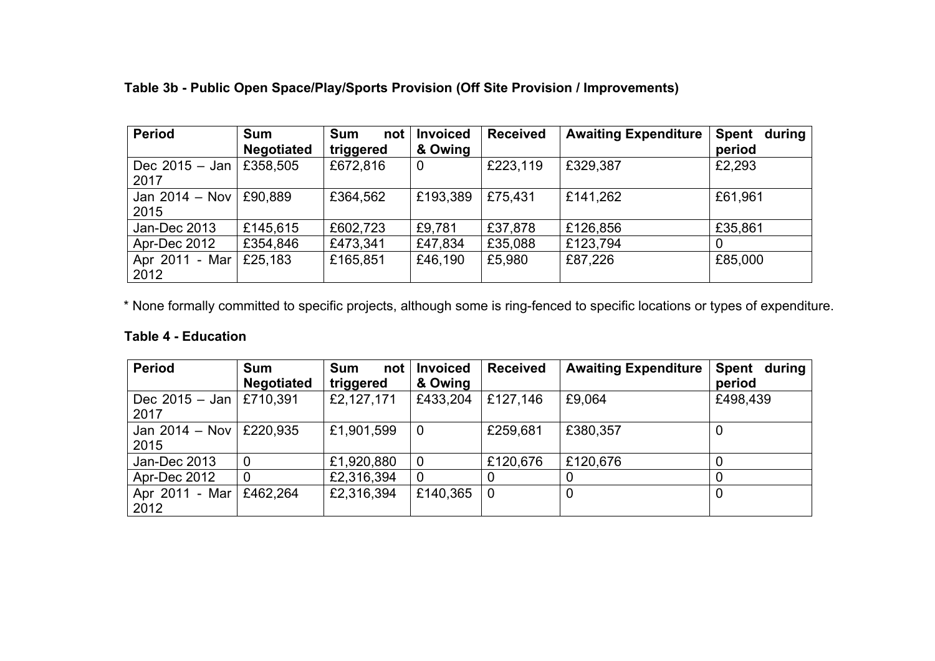| <b>Period</b>            | <b>Sum</b>        | <b>Sum</b><br>not | <b>Invoiced</b> | <b>Received</b> | <b>Awaiting Expenditure</b> | <b>Spent</b><br>during |
|--------------------------|-------------------|-------------------|-----------------|-----------------|-----------------------------|------------------------|
|                          | <b>Negotiated</b> | triggered         | & Owing         |                 |                             | period                 |
| Dec $2015 -$ Jan<br>2017 | £358,505          | £672,816          | $\mathbf 0$     | £223,119        | £329,387                    | £2,293                 |
| Jan $2014 - Nov$<br>2015 | £90,889           | £364,562          | £193,389        | £75,431         | £141,262                    | £61,961                |
| Jan-Dec 2013             | £145,615          | £602,723          | £9,781          | £37,878         | £126,856                    | £35,861                |
| Apr-Dec 2012             | £354,846          | £473,341          | £47,834         | £35,088         | £123,794                    | 0                      |
| Apr 2011 - Mar<br>2012   | £25,183           | £165,851          | £46,190         | £5,980          | £87,226                     | £85,000                |

 **Table 3b - Public Open Space/Play/Sports Provision (Off Site Provision / Improvements)**

\* None formally committed to specific projects, although some is ring-fenced to specific locations or types of expenditure.

#### **Table 4 - Education**

| <b>Period</b>            | <b>Sum</b>        | <b>Sum</b><br>not | <b>Invoiced</b> | <b>Received</b> | <b>Awaiting Expenditure</b> | <b>Spent</b><br>during |
|--------------------------|-------------------|-------------------|-----------------|-----------------|-----------------------------|------------------------|
|                          | <b>Negotiated</b> | triggered         | & Owing         |                 |                             | period                 |
| Dec 2015 - Jan  <br>2017 | £710,391          | £2,127,171        | £433,204        | £127,146        | £9,064                      | £498,439               |
| Jan 2014 - Nov<br>2015   | £220,935          | £1,901,599        | $\mathbf 0$     | £259,681        | £380,357                    | 0                      |
| Jan-Dec 2013             | 0                 | £1,920,880        | $\overline{0}$  | £120,676        | £120,676                    |                        |
| Apr-Dec 2012             | 0                 | £2,316,394        | $\overline{0}$  |                 | 0                           |                        |
| Apr 2011 - Mar<br>2012   | £462,264          | £2,316,394        | £140,365        | $\overline{0}$  | 0                           | $\boldsymbol{0}$       |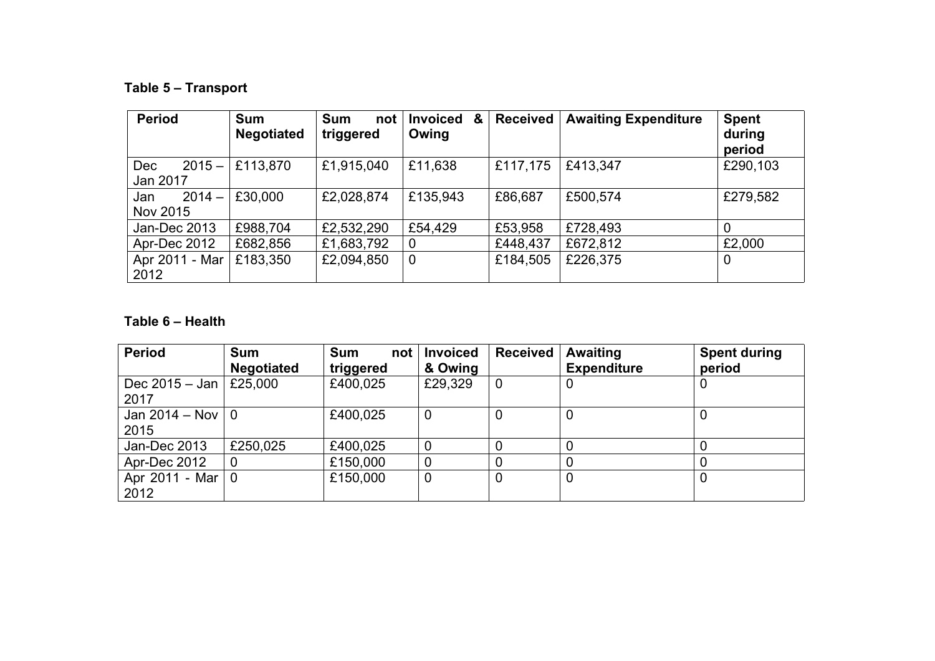# **Table 5 – Transport**

| <b>Period</b>          | <b>Sum</b><br><b>Negotiated</b> | <b>Sum</b><br>not<br>triggered | <b>Invoiced</b><br>&<br>Owing | <b>Received</b> | <b>Awaiting Expenditure</b> | <b>Spent</b><br>during<br>period |
|------------------------|---------------------------------|--------------------------------|-------------------------------|-----------------|-----------------------------|----------------------------------|
| $2015 -$<br><b>Dec</b> | £113,870                        | £1,915,040                     | £11,638                       | £117,175        | £413,347                    | £290,103                         |
| Jan 2017               |                                 |                                |                               |                 |                             |                                  |
| $2014 -$<br>Jan        | £30,000                         | £2,028,874                     | £135,943                      | £86,687         | £500,574                    | £279,582                         |
| Nov 2015               |                                 |                                |                               |                 |                             |                                  |
| Jan-Dec 2013           | £988,704                        | £2,532,290                     | £54,429                       | £53,958         | £728,493                    | 0                                |
| Apr-Dec 2012           | £682,856                        | £1,683,792                     | $\overline{0}$                | £448,437        | £672,812                    | £2,000                           |
| Apr 2011 - Mar         | £183,350                        | £2,094,850                     | $\overline{0}$                | £184,505        | £226,375                    | 0                                |
| 2012                   |                                 |                                |                               |                 |                             |                                  |

## **Table 6 – Health**

| <b>Period</b>                    | <b>Sum</b><br><b>Negotiated</b> | <b>Sum</b><br>not<br>triggered | <b>Invoiced</b><br>& Owing | <b>Received</b> | <b>Awaiting</b><br><b>Expenditure</b> | <b>Spent during</b><br>period |
|----------------------------------|---------------------------------|--------------------------------|----------------------------|-----------------|---------------------------------------|-------------------------------|
| Dec 2015 – Jan   £25,000<br>2017 |                                 | £400,025                       | £29,329                    | $\overline{0}$  |                                       | 0                             |
| Jan 2014 – Nov $ 0 $<br>2015     |                                 | £400,025                       | 0                          | 0               | 0                                     |                               |
| Jan-Dec 2013                     | £250,025                        | £400,025                       | 0                          |                 |                                       | 0                             |
| Apr-Dec 2012                     | $\boldsymbol{0}$                | £150,000                       | 0                          |                 |                                       |                               |
| Apr 2011 - Mar $ 0 $<br>2012     |                                 | £150,000                       | $\mathbf 0$                | 0               | 0                                     | 0                             |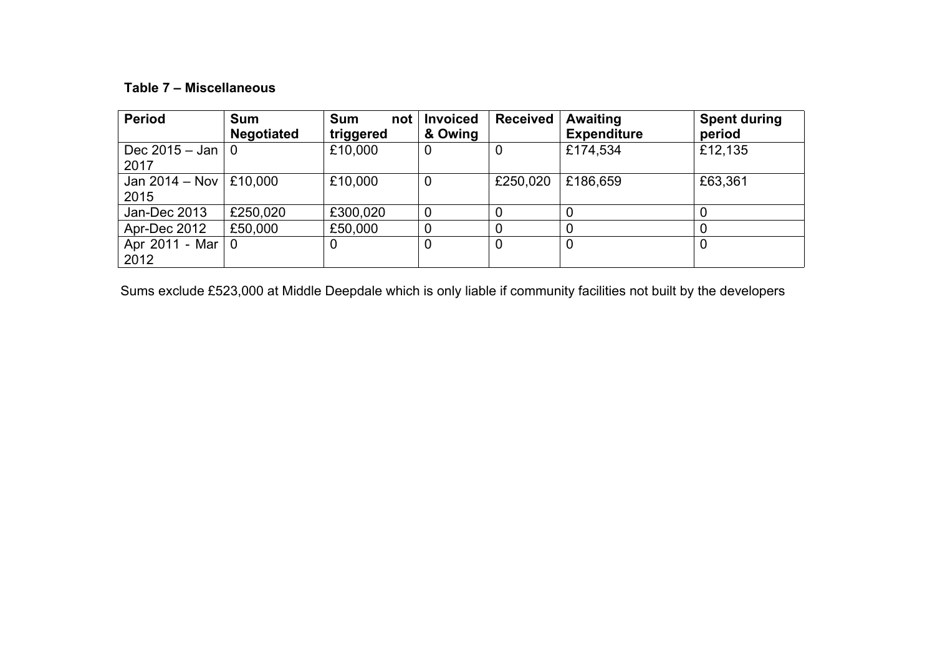## **Table 7 – Miscellaneous**

| <b>Period</b>                  | <b>Sum</b><br><b>Negotiated</b> | <b>Sum</b><br>not | <b>Invoiced</b><br>& Owing | <b>Received</b> | Awaiting<br><b>Expenditure</b> | <b>Spent during</b><br>period |
|--------------------------------|---------------------------------|-------------------|----------------------------|-----------------|--------------------------------|-------------------------------|
|                                |                                 | triggered         |                            |                 |                                |                               |
| Dec 2015 – Jan $ 0 $           |                                 | £10,000           | $\overline{0}$             | 0               | £174,534                       | £12,135                       |
| 2017                           |                                 |                   |                            |                 |                                |                               |
| Jan 2014 – Nov $\vert$ £10,000 |                                 | £10,000           | $\overline{0}$             | £250,020        | £186,659                       | £63,361                       |
| 2015                           |                                 |                   |                            |                 |                                |                               |
| Jan-Dec 2013                   | £250,020                        | £300,020          |                            | 0               |                                |                               |
| Apr-Dec 2012                   | £50,000                         | £50,000           | 0                          | 0               |                                |                               |
| Apr 2011 - Mar $ 0 $           |                                 | 0                 |                            | 0               | $\mathbf 0$                    | $\overline{0}$                |
| 2012                           |                                 |                   |                            |                 |                                |                               |

Sums exclude £523,000 at Middle Deepdale which is only liable if community facilities not built by the developers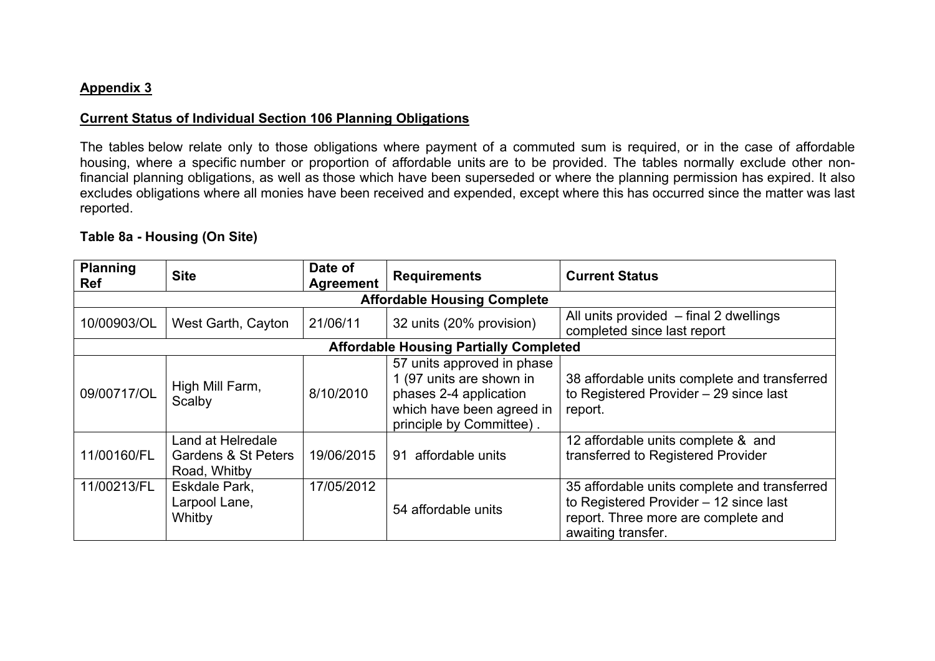#### **Appendix 3**

#### **Current Status of Individual Section 106 Planning Obligations**

The tables below relate only to those obligations where payment of a commuted sum is required, or in the case of affordable housing, where a specific number or proportion of affordable units are to be provided. The tables normally exclude other nonfinancial planning obligations, as well as those which have been superseded or where the planning permission has expired. It also excludes obligations where all monies have been received and expended, except where this has occurred since the matter was last reported.

## **Table 8a - Housing (On Site)**

| <b>Planning</b><br><b>Ref</b> | <b>Site</b>                                              | Date of<br>Agreement | <b>Requirements</b>                                                                                                                       | <b>Current Status</b>                                                                                                                               |
|-------------------------------|----------------------------------------------------------|----------------------|-------------------------------------------------------------------------------------------------------------------------------------------|-----------------------------------------------------------------------------------------------------------------------------------------------------|
|                               |                                                          |                      | <b>Affordable Housing Complete</b>                                                                                                        |                                                                                                                                                     |
| 10/00903/OL                   | West Garth, Cayton                                       | 21/06/11             | 32 units (20% provision)                                                                                                                  | All units provided - final 2 dwellings<br>completed since last report                                                                               |
|                               |                                                          |                      | <b>Affordable Housing Partially Completed</b>                                                                                             |                                                                                                                                                     |
| 09/00717/OL                   | High Mill Farm,<br>Scalby                                | 8/10/2010            | 57 units approved in phase<br>1 (97 units are shown in<br>phases 2-4 application<br>which have been agreed in<br>principle by Committee). | 38 affordable units complete and transferred<br>to Registered Provider - 29 since last<br>report.                                                   |
| 11/00160/FL                   | Land at Helredale<br>Gardens & St Peters<br>Road, Whitby | 19/06/2015           | affordable units<br>91                                                                                                                    | 12 affordable units complete & and<br>transferred to Registered Provider                                                                            |
| 11/00213/FL                   | Eskdale Park.<br>Larpool Lane,<br>Whitby                 | 17/05/2012           | 54 affordable units                                                                                                                       | 35 affordable units complete and transferred<br>to Registered Provider - 12 since last<br>report. Three more are complete and<br>awaiting transfer. |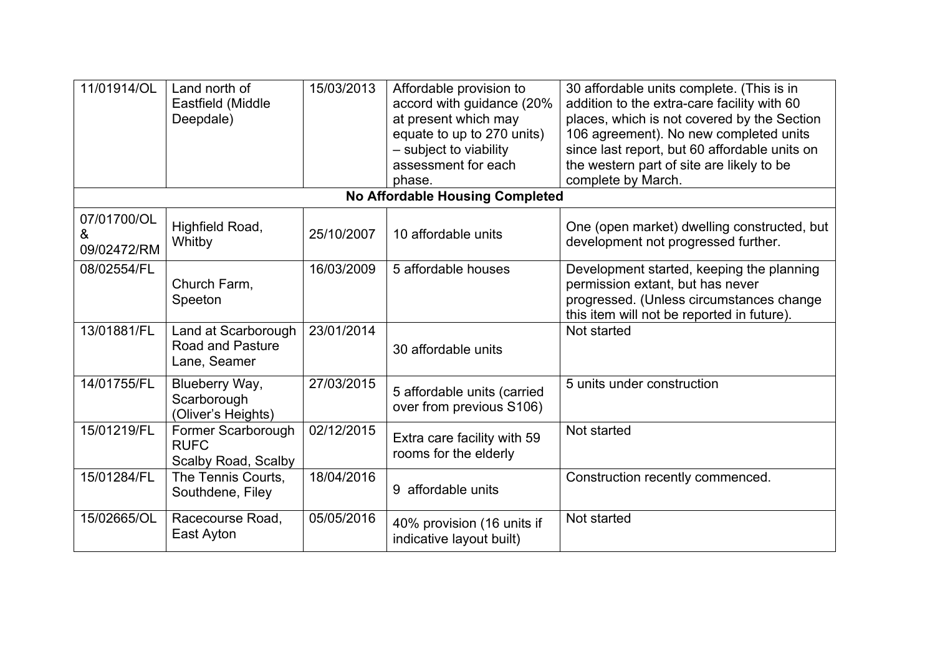| 11/01914/OL                     | Land north of<br>Eastfield (Middle<br>Deepdale)                | 15/03/2013 | Affordable provision to<br>accord with guidance (20%<br>at present which may<br>equate to up to 270 units)<br>- subject to viability<br>assessment for each<br>phase. | 30 affordable units complete. (This is in<br>addition to the extra-care facility with 60<br>places, which is not covered by the Section<br>106 agreement). No new completed units<br>since last report, but 60 affordable units on<br>the western part of site are likely to be<br>complete by March. |
|---------------------------------|----------------------------------------------------------------|------------|-----------------------------------------------------------------------------------------------------------------------------------------------------------------------|-------------------------------------------------------------------------------------------------------------------------------------------------------------------------------------------------------------------------------------------------------------------------------------------------------|
|                                 |                                                                |            | No Affordable Housing Completed                                                                                                                                       |                                                                                                                                                                                                                                                                                                       |
| 07/01700/OL<br>&<br>09/02472/RM | Highfield Road,<br>Whitby                                      | 25/10/2007 | 10 affordable units                                                                                                                                                   | One (open market) dwelling constructed, but<br>development not progressed further.                                                                                                                                                                                                                    |
| 08/02554/FL                     | Church Farm,<br>Speeton                                        | 16/03/2009 | 5 affordable houses                                                                                                                                                   | Development started, keeping the planning<br>permission extant, but has never<br>progressed. (Unless circumstances change<br>this item will not be reported in future).                                                                                                                               |
| 13/01881/FL                     | Land at Scarborough<br><b>Road and Pasture</b><br>Lane, Seamer | 23/01/2014 | 30 affordable units                                                                                                                                                   | Not started                                                                                                                                                                                                                                                                                           |
| 14/01755/FL                     | Blueberry Way,<br>Scarborough<br>(Oliver's Heights)            | 27/03/2015 | 5 affordable units (carried<br>over from previous S106)                                                                                                               | 5 units under construction                                                                                                                                                                                                                                                                            |
| 15/01219/FL                     | Former Scarborough<br><b>RUFC</b><br>Scalby Road, Scalby       | 02/12/2015 | Extra care facility with 59<br>rooms for the elderly                                                                                                                  | Not started                                                                                                                                                                                                                                                                                           |
| 15/01284/FL                     | The Tennis Courts,<br>Southdene, Filey                         | 18/04/2016 | 9 affordable units                                                                                                                                                    | Construction recently commenced.                                                                                                                                                                                                                                                                      |
| 15/02665/OL                     | Racecourse Road,<br>East Ayton                                 | 05/05/2016 | 40% provision (16 units if<br>indicative layout built)                                                                                                                | Not started                                                                                                                                                                                                                                                                                           |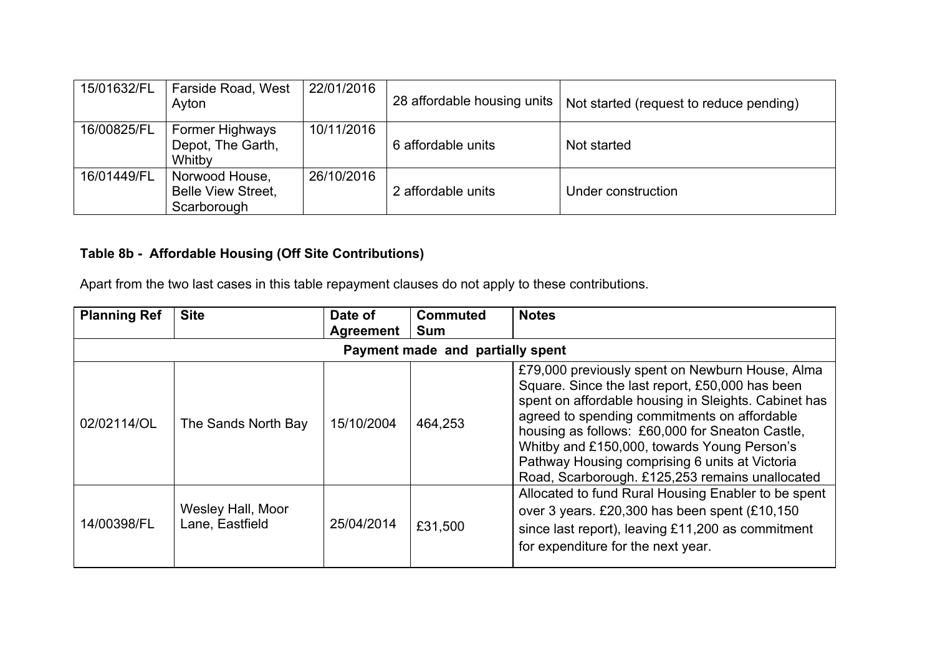| 15/01632/FL | Farside Road, West<br>Ayton                                | 22/01/2016 | 28 affordable housing units | Not started (request to reduce pending) |
|-------------|------------------------------------------------------------|------------|-----------------------------|-----------------------------------------|
| 16/00825/FL | <b>Former Highways</b><br>Depot, The Garth,<br>Whitby      | 10/11/2016 | 6 affordable units          | Not started                             |
| 16/01449/FL | Norwood House,<br><b>Belle View Street,</b><br>Scarborough | 26/10/2016 | 2 affordable units          | Under construction                      |

# **Table 8b - Affordable Housing (Off Site Contributions)**

Apart from the two last cases in this table repayment clauses do not apply to these contributions.

| <b>Planning Ref</b>              | <b>Site</b>                          | Date of<br>Agreement | <b>Commuted</b><br><b>Sum</b> | <b>Notes</b>                                                                                                                                                                                                                                                                                                                                                                                                      |  |  |  |  |  |
|----------------------------------|--------------------------------------|----------------------|-------------------------------|-------------------------------------------------------------------------------------------------------------------------------------------------------------------------------------------------------------------------------------------------------------------------------------------------------------------------------------------------------------------------------------------------------------------|--|--|--|--|--|
| Payment made and partially spent |                                      |                      |                               |                                                                                                                                                                                                                                                                                                                                                                                                                   |  |  |  |  |  |
| 02/02114/OL                      | The Sands North Bay                  | 15/10/2004           | 464,253                       | £79,000 previously spent on Newburn House, Alma<br>Square. Since the last report, £50,000 has been<br>spent on affordable housing in Sleights. Cabinet has<br>agreed to spending commitments on affordable<br>housing as follows: £60,000 for Sneaton Castle,<br>Whitby and £150,000, towards Young Person's<br>Pathway Housing comprising 6 units at Victoria<br>Road, Scarborough. £125,253 remains unallocated |  |  |  |  |  |
| 14/00398/FL                      | Wesley Hall, Moor<br>Lane, Eastfield | 25/04/2014           | £31,500                       | Allocated to fund Rural Housing Enabler to be spent<br>over 3 years. £20,300 has been spent (£10,150<br>since last report), leaving £11,200 as commitment<br>for expenditure for the next year.                                                                                                                                                                                                                   |  |  |  |  |  |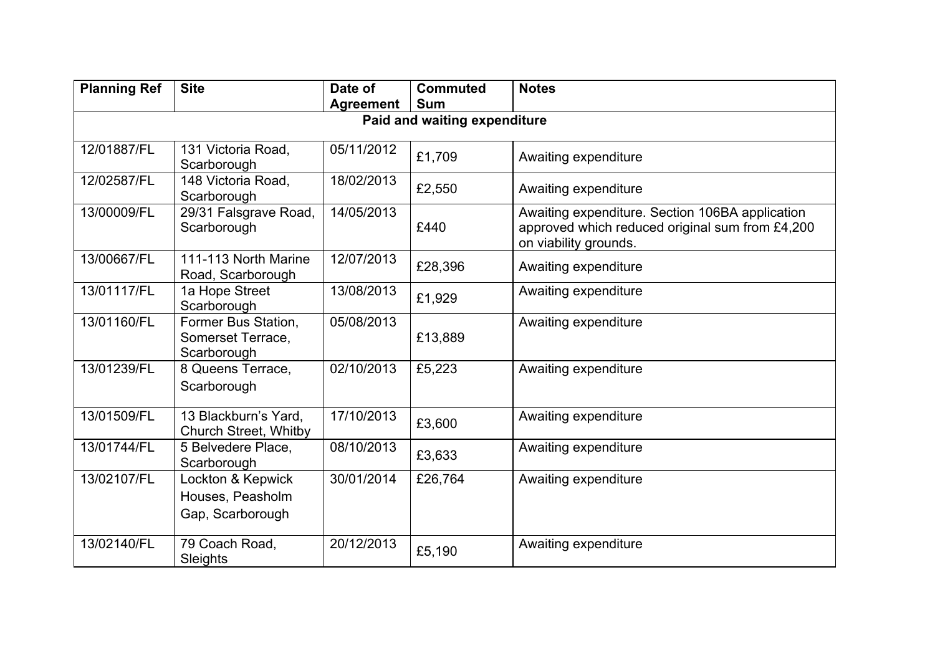| <b>Planning Ref</b> | <b>Site</b>                                               | Date of<br><b>Agreement</b> | <b>Commuted</b><br><b>Sum</b> | <b>Notes</b>                                                                                                                |  |  |  |  |  |  |  |  |
|---------------------|-----------------------------------------------------------|-----------------------------|-------------------------------|-----------------------------------------------------------------------------------------------------------------------------|--|--|--|--|--|--|--|--|
|                     | Paid and waiting expenditure                              |                             |                               |                                                                                                                             |  |  |  |  |  |  |  |  |
|                     |                                                           |                             |                               |                                                                                                                             |  |  |  |  |  |  |  |  |
| 12/01887/FL         | 131 Victoria Road.<br>Scarborough                         | 05/11/2012                  | £1,709                        | Awaiting expenditure                                                                                                        |  |  |  |  |  |  |  |  |
| 12/02587/FL         | 148 Victoria Road,<br>Scarborough                         | 18/02/2013                  | £2,550                        | Awaiting expenditure                                                                                                        |  |  |  |  |  |  |  |  |
| 13/00009/FL         | 29/31 Falsgrave Road,<br>Scarborough                      | 14/05/2013                  | £440                          | Awaiting expenditure. Section 106BA application<br>approved which reduced original sum from £4,200<br>on viability grounds. |  |  |  |  |  |  |  |  |
| 13/00667/FL         | 111-113 North Marine<br>Road, Scarborough                 | 12/07/2013                  | £28,396                       | Awaiting expenditure                                                                                                        |  |  |  |  |  |  |  |  |
| 13/01117/FL         | 1a Hope Street<br>Scarborough                             | 13/08/2013                  | £1,929                        | Awaiting expenditure                                                                                                        |  |  |  |  |  |  |  |  |
| 13/01160/FL         | Former Bus Station,<br>Somerset Terrace,<br>Scarborough   | 05/08/2013                  | £13,889                       | Awaiting expenditure                                                                                                        |  |  |  |  |  |  |  |  |
| 13/01239/FL         | 8 Queens Terrace,<br>Scarborough                          | 02/10/2013                  | £5,223                        | Awaiting expenditure                                                                                                        |  |  |  |  |  |  |  |  |
| 13/01509/FL         | 13 Blackburn's Yard,<br><b>Church Street, Whitby</b>      | 17/10/2013                  | £3,600                        | Awaiting expenditure                                                                                                        |  |  |  |  |  |  |  |  |
| 13/01744/FL         | 5 Belvedere Place,<br>Scarborough                         | 08/10/2013                  | £3,633                        | Awaiting expenditure                                                                                                        |  |  |  |  |  |  |  |  |
| 13/02107/FL         | Lockton & Kepwick<br>Houses, Peasholm<br>Gap, Scarborough | 30/01/2014                  | £26,764                       | Awaiting expenditure                                                                                                        |  |  |  |  |  |  |  |  |
| 13/02140/FL         | 79 Coach Road,<br>Sleights                                | 20/12/2013                  | £5,190                        | Awaiting expenditure                                                                                                        |  |  |  |  |  |  |  |  |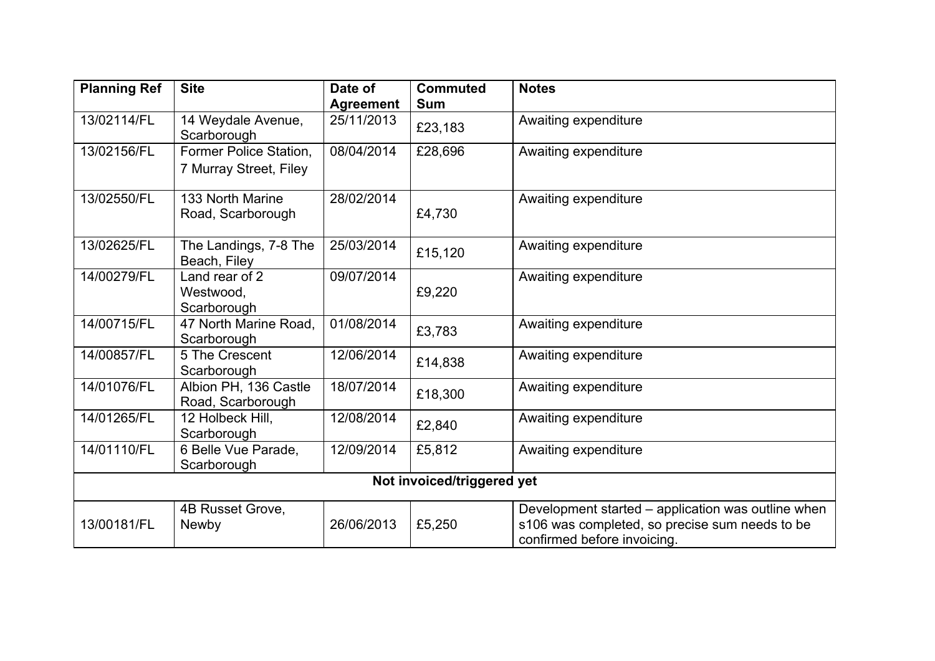| <b>Planning Ref</b> | <b>Site</b>                                      | Date of<br><b>Agreement</b> | <b>Commuted</b><br><b>Sum</b> | <b>Notes</b>                                                                                                                        |
|---------------------|--------------------------------------------------|-----------------------------|-------------------------------|-------------------------------------------------------------------------------------------------------------------------------------|
| 13/02114/FL         | 14 Weydale Avenue,<br>Scarborough                | 25/11/2013                  | £23,183                       | Awaiting expenditure                                                                                                                |
| 13/02156/FL         | Former Police Station,<br>7 Murray Street, Filey | 08/04/2014                  | £28,696                       | Awaiting expenditure                                                                                                                |
| 13/02550/FL         | 133 North Marine<br>Road, Scarborough            | 28/02/2014                  | £4,730                        | Awaiting expenditure                                                                                                                |
| 13/02625/FL         | The Landings, 7-8 The<br>Beach, Filey            | 25/03/2014                  | £15,120                       | Awaiting expenditure                                                                                                                |
| 14/00279/FL         | Land rear of 2<br>Westwood,<br>Scarborough       | 09/07/2014                  | £9,220                        | Awaiting expenditure                                                                                                                |
| 14/00715/FL         | 47 North Marine Road,<br>Scarborough             | 01/08/2014                  | £3,783                        | Awaiting expenditure                                                                                                                |
| 14/00857/FL         | 5 The Crescent<br>Scarborough                    | 12/06/2014                  | £14,838                       | Awaiting expenditure                                                                                                                |
| 14/01076/FL         | Albion PH, 136 Castle<br>Road, Scarborough       | 18/07/2014                  | £18,300                       | Awaiting expenditure                                                                                                                |
| 14/01265/FL         | 12 Holbeck Hill,<br>Scarborough                  | 12/08/2014                  | £2,840                        | Awaiting expenditure                                                                                                                |
| 14/01110/FL         | 6 Belle Vue Parade,<br>Scarborough               | 12/09/2014                  | £5,812                        | Awaiting expenditure                                                                                                                |
|                     |                                                  |                             | Not invoiced/triggered yet    |                                                                                                                                     |
| 13/00181/FL         | 4B Russet Grove,<br><b>Newby</b>                 | 26/06/2013                  | £5,250                        | Development started – application was outline when<br>s106 was completed, so precise sum needs to be<br>confirmed before invoicing. |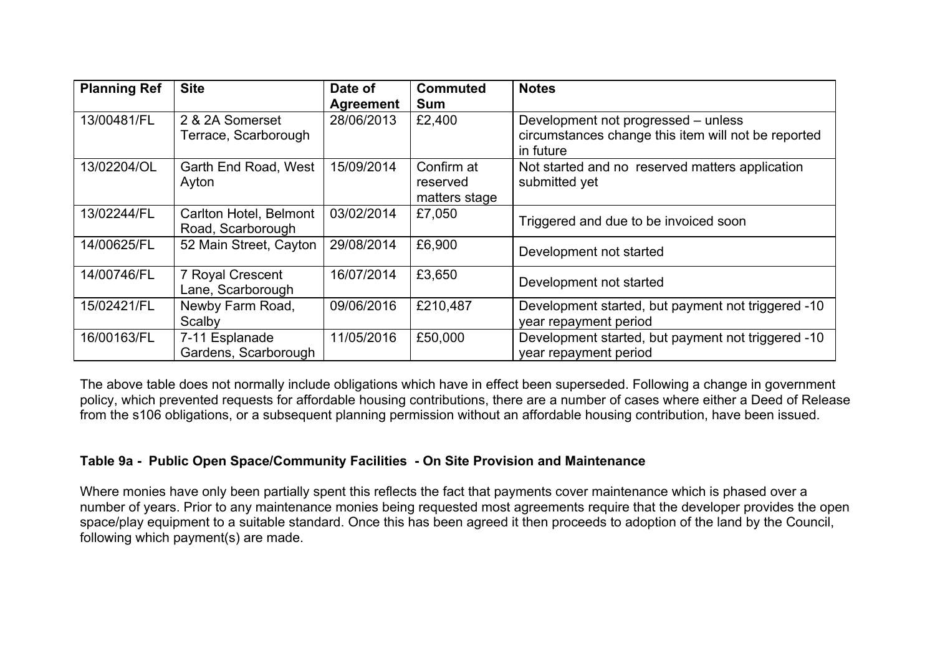| <b>Planning Ref</b> | <b>Site</b>                                 | Date of<br>Agreement | <b>Commuted</b><br><b>Sum</b>           | <b>Notes</b>                                                                                            |
|---------------------|---------------------------------------------|----------------------|-----------------------------------------|---------------------------------------------------------------------------------------------------------|
| 13/00481/FL         | 2 & 2A Somerset<br>Terrace, Scarborough     | 28/06/2013           | £2,400                                  | Development not progressed – unless<br>circumstances change this item will not be reported<br>in future |
| 13/02204/OL         | Garth End Road, West<br>Ayton               | 15/09/2014           | Confirm at<br>reserved<br>matters stage | Not started and no reserved matters application<br>submitted yet                                        |
| 13/02244/FL         | Carlton Hotel, Belmont<br>Road, Scarborough | 03/02/2014           | £7,050                                  | Triggered and due to be invoiced soon                                                                   |
| 14/00625/FL         | 52 Main Street, Cayton                      | 29/08/2014           | £6,900                                  | Development not started                                                                                 |
| 14/00746/FL         | 7 Royal Crescent<br>Lane, Scarborough       | 16/07/2014           | £3,650                                  | Development not started                                                                                 |
| 15/02421/FL         | Newby Farm Road,<br>Scalby                  | 09/06/2016           | £210,487                                | Development started, but payment not triggered -10<br>year repayment period                             |
| 16/00163/FL         | 7-11 Esplanade<br>Gardens, Scarborough      | 11/05/2016           | £50,000                                 | Development started, but payment not triggered -10<br>year repayment period                             |

The above table does not normally include obligations which have in effect been superseded. Following a change in government policy, which prevented requests for affordable housing contributions, there are a number of cases where either a Deed of Release from the s106 obligations, or a subsequent planning permission without an affordable housing contribution, have been issued.

### **Table 9a - Public Open Space/Community Facilities - On Site Provision and Maintenance**

Where monies have only been partially spent this reflects the fact that payments cover maintenance which is phased over a number of years. Prior to any maintenance monies being requested most agreements require that the developer provides the open space/play equipment to a suitable standard. Once this has been agreed it then proceeds to adoption of the land by the Council, following which payment(s) are made.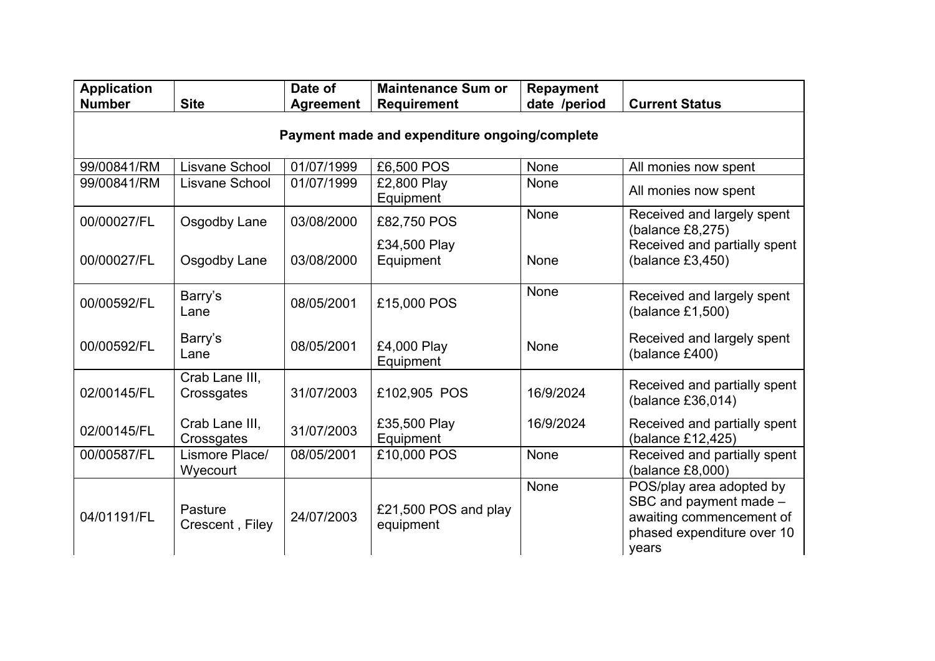| <b>Application</b><br><b>Number</b>           | <b>Site</b>                  | Date of<br><b>Agreement</b> | <b>Maintenance Sum or</b><br>Requirement | <b>Repayment</b><br>date /period | <b>Current Status</b>                                                                                                 |  |  |  |  |  |  |
|-----------------------------------------------|------------------------------|-----------------------------|------------------------------------------|----------------------------------|-----------------------------------------------------------------------------------------------------------------------|--|--|--|--|--|--|
| Payment made and expenditure ongoing/complete |                              |                             |                                          |                                  |                                                                                                                       |  |  |  |  |  |  |
| 99/00841/RM                                   | Lisvane School               | 01/07/1999                  | £6,500 POS                               | None                             | All monies now spent                                                                                                  |  |  |  |  |  |  |
| 99/00841/RM                                   | Lisvane School               | 01/07/1999                  | £2,800 Play<br>Equipment                 | None                             | All monies now spent                                                                                                  |  |  |  |  |  |  |
| 00/00027/FL                                   | Osgodby Lane                 | 03/08/2000                  | £82,750 POS                              | None                             | Received and largely spent<br>(balance $£8,275)$                                                                      |  |  |  |  |  |  |
| 00/00027/FL                                   | Osgodby Lane                 | 03/08/2000                  | £34,500 Play<br>Equipment                | None                             | Received and partially spent<br>(balance $£3,450$ )                                                                   |  |  |  |  |  |  |
| 00/00592/FL                                   | Barry's<br>Lane              | 08/05/2001                  | £15,000 POS                              | None                             | Received and largely spent<br>(balance £1,500)                                                                        |  |  |  |  |  |  |
| 00/00592/FL                                   | Barry's<br>Lane              | 08/05/2001                  | £4,000 Play<br>Equipment                 | None                             | Received and largely spent<br>(balance £400)                                                                          |  |  |  |  |  |  |
| 02/00145/FL                                   | Crab Lane III.<br>Crossgates | 31/07/2003                  | £102,905 POS                             | 16/9/2024                        | Received and partially spent<br>(balance £36,014)                                                                     |  |  |  |  |  |  |
| 02/00145/FL                                   | Crab Lane III,<br>Crossgates | 31/07/2003                  | £35,500 Play<br>Equipment                | 16/9/2024                        | Received and partially spent<br>(balance £12,425)                                                                     |  |  |  |  |  |  |
| 00/00587/FL                                   | Lismore Place/<br>Wyecourt   | 08/05/2001                  | £10,000 POS                              | None                             | Received and partially spent<br>(balance £8,000)                                                                      |  |  |  |  |  |  |
| 04/01191/FL                                   | Pasture<br>Crescent, Filey   | 24/07/2003                  | £21,500 POS and play<br>equipment        | None                             | POS/play area adopted by<br>SBC and payment made -<br>awaiting commencement of<br>phased expenditure over 10<br>years |  |  |  |  |  |  |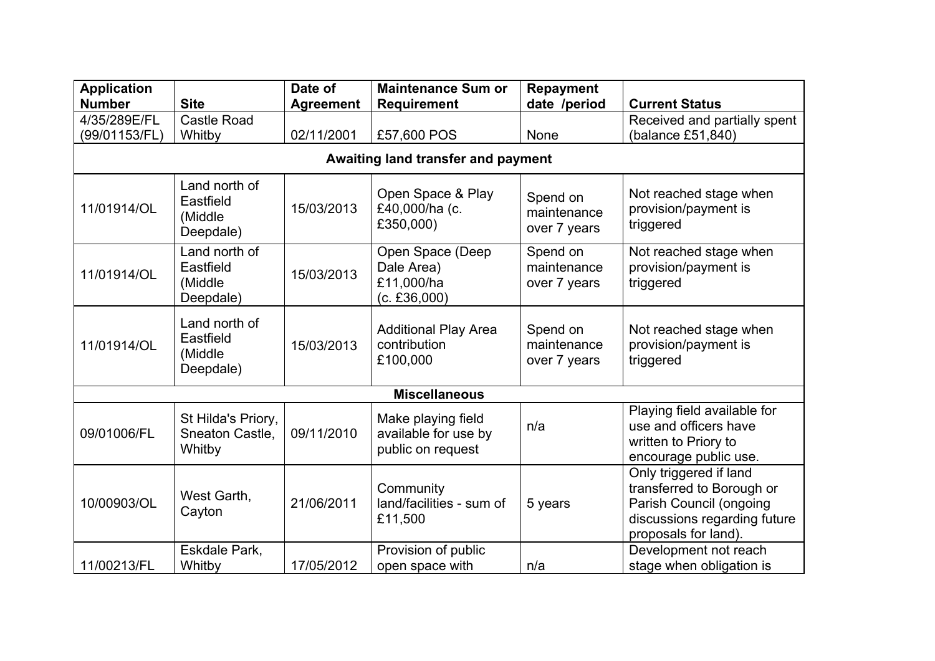| <b>Application</b> |                                                    | Date of          | <b>Maintenance Sum or</b>                                       | <b>Repayment</b>                        | <b>Current Status</b>                                                                                                                  |  |  |
|--------------------|----------------------------------------------------|------------------|-----------------------------------------------------------------|-----------------------------------------|----------------------------------------------------------------------------------------------------------------------------------------|--|--|
| <b>Number</b>      | <b>Site</b>                                        | <b>Agreement</b> | <b>Requirement</b>                                              | date /period                            |                                                                                                                                        |  |  |
| 4/35/289E/FL       | <b>Castle Road</b>                                 |                  |                                                                 |                                         | Received and partially spent                                                                                                           |  |  |
| (99/01153/FL)      | Whitby                                             | 02/11/2001       | £57,600 POS                                                     | None                                    | (balance £51,840)                                                                                                                      |  |  |
|                    |                                                    |                  | Awaiting land transfer and payment                              |                                         |                                                                                                                                        |  |  |
| 11/01914/OL        | Land north of<br>Eastfield<br>(Middle<br>Deepdale) | 15/03/2013       | Open Space & Play<br>£40,000/ha (c.<br>£350,000)                | Spend on<br>maintenance<br>over 7 years | Not reached stage when<br>provision/payment is<br>triggered                                                                            |  |  |
| 11/01914/OL        | Land north of<br>Eastfield<br>(Middle<br>Deepdale) | 15/03/2013       | Open Space (Deep<br>Dale Area)<br>£11,000/ha<br>(c. £36,000)    | Spend on<br>maintenance<br>over 7 years | Not reached stage when<br>provision/payment is<br>triggered                                                                            |  |  |
| 11/01914/OL        | Land north of<br>Eastfield<br>(Middle<br>Deepdale) | 15/03/2013       | <b>Additional Play Area</b><br>contribution<br>£100,000         | Spend on<br>maintenance<br>over 7 years | Not reached stage when<br>provision/payment is<br>triggered                                                                            |  |  |
|                    |                                                    |                  | <b>Miscellaneous</b>                                            |                                         |                                                                                                                                        |  |  |
| 09/01006/FL        | St Hilda's Priory,<br>Sneaton Castle,<br>Whitby    | 09/11/2010       | Make playing field<br>available for use by<br>public on request | n/a                                     | Playing field available for<br>use and officers have<br>written to Priory to<br>encourage public use.                                  |  |  |
| 10/00903/OL        | West Garth,<br>Cayton                              | 21/06/2011       | Community<br>land/facilities - sum of<br>£11,500                | 5 years                                 | Only triggered if land<br>transferred to Borough or<br>Parish Council (ongoing<br>discussions regarding future<br>proposals for land). |  |  |
| 11/00213/FL        | Eskdale Park,<br>Whitby                            | 17/05/2012       | Provision of public<br>open space with                          | n/a                                     | Development not reach<br>stage when obligation is                                                                                      |  |  |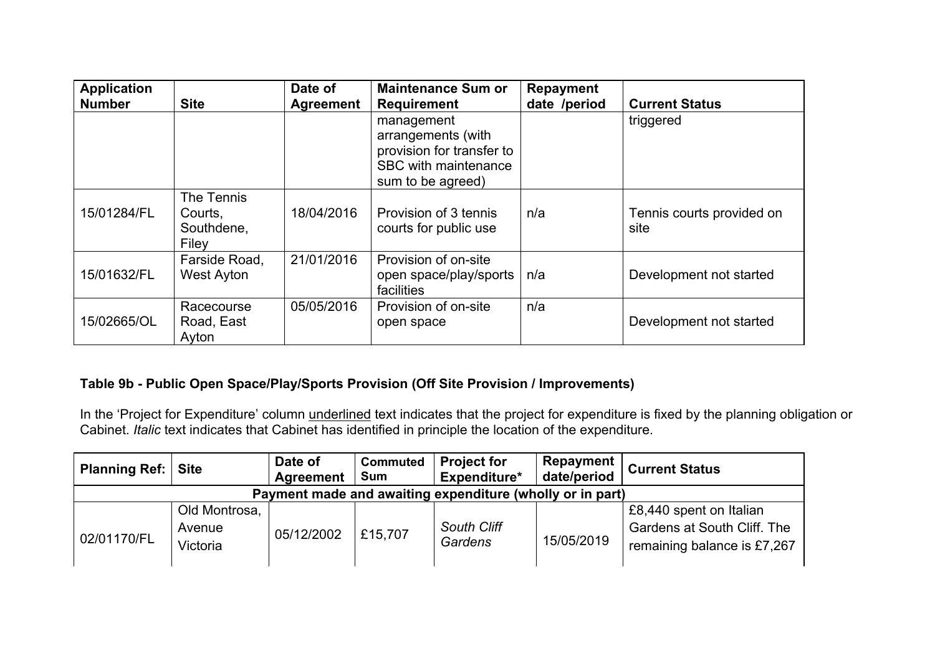| <b>Application</b><br><b>Number</b> | <b>Site</b>                                  | Date of<br><b>Agreement</b> | <b>Maintenance Sum or</b><br><b>Requirement</b>                                                            | <b>Repayment</b><br>date /period | <b>Current Status</b>             |
|-------------------------------------|----------------------------------------------|-----------------------------|------------------------------------------------------------------------------------------------------------|----------------------------------|-----------------------------------|
|                                     |                                              |                             | management<br>arrangements (with<br>provision for transfer to<br>SBC with maintenance<br>sum to be agreed) |                                  | triggered                         |
| 15/01284/FL                         | The Tennis<br>Courts,<br>Southdene,<br>Filev | 18/04/2016                  | Provision of 3 tennis<br>courts for public use                                                             | n/a                              | Tennis courts provided on<br>site |
| 15/01632/FL                         | Farside Road,<br>West Ayton                  | 21/01/2016                  | Provision of on-site<br>open space/play/sports<br>facilities                                               | n/a                              | Development not started           |
| 15/02665/OL                         | Racecourse<br>Road, East<br>Ayton            | 05/05/2016                  | Provision of on-site<br>open space                                                                         | n/a                              | Development not started           |

# **Table 9b - Public Open Space/Play/Sports Provision (Off Site Provision / Improvements)**

In the 'Project for Expenditure' column underlined text indicates that the project for expenditure is fixed by the planning obligation or Cabinet. *Italic* text indicates that Cabinet has identified in principle the location of the expenditure.

| <b>Planning Ref:</b>                                      | <b>Site</b>                         | Date of<br>Agreement | <b>Commuted</b><br><b>Sum</b> | <b>Project for</b><br>Expenditure* | Repayment<br>date/period | <b>Current Status</b>                                                                 |  |  |  |  |
|-----------------------------------------------------------|-------------------------------------|----------------------|-------------------------------|------------------------------------|--------------------------|---------------------------------------------------------------------------------------|--|--|--|--|
| Payment made and awaiting expenditure (wholly or in part) |                                     |                      |                               |                                    |                          |                                                                                       |  |  |  |  |
| 02/01170/FL                                               | Old Montrosa,<br>Avenue<br>Victoria | 05/12/2002           | £15,707                       | <b>South Cliff</b><br>Gardens      | 15/05/2019               | £8,440 spent on Italian<br>Gardens at South Cliff. The<br>remaining balance is £7,267 |  |  |  |  |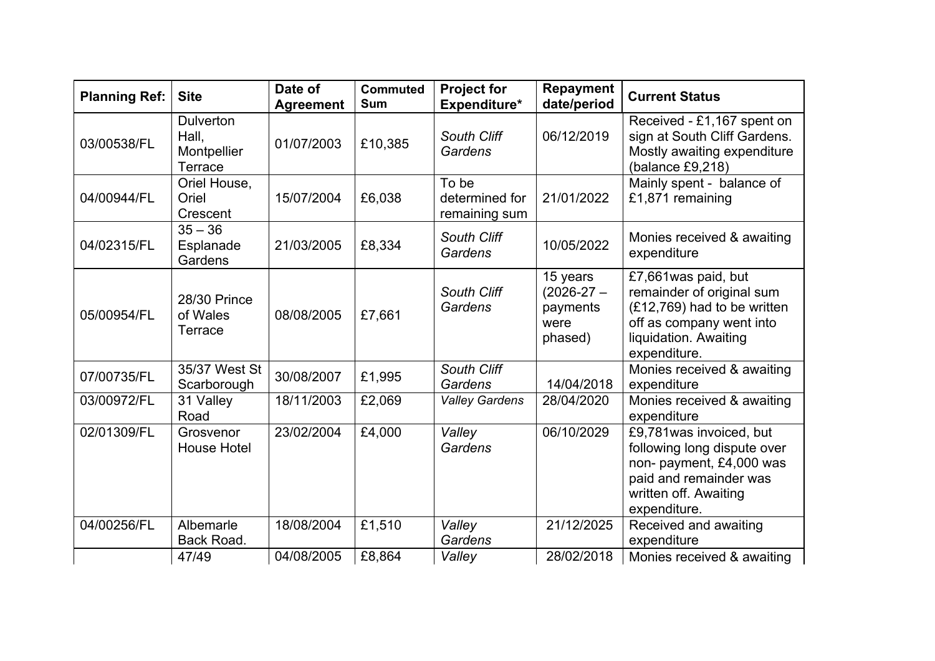| <b>Planning Ref:</b> | <b>Site</b>                                         | Date of<br><b>Agreement</b> | <b>Commuted</b><br><b>Sum</b> | <b>Project for</b><br>Expenditure*       | <b>Repayment</b><br>date/period                           | <b>Current Status</b>                                                                                                                                  |
|----------------------|-----------------------------------------------------|-----------------------------|-------------------------------|------------------------------------------|-----------------------------------------------------------|--------------------------------------------------------------------------------------------------------------------------------------------------------|
| 03/00538/FL          | <b>Dulverton</b><br>Hall,<br>Montpellier<br>Terrace | 01/07/2003                  | £10,385                       | South Cliff<br>Gardens                   | 06/12/2019                                                | Received - £1,167 spent on<br>sign at South Cliff Gardens.<br>Mostly awaiting expenditure<br>(balance $£9,218$ )                                       |
| 04/00944/FL          | Oriel House,<br>Oriel<br>Crescent                   | 15/07/2004                  | £6,038                        | To be<br>determined for<br>remaining sum | 21/01/2022                                                | Mainly spent - balance of<br>£1,871 remaining                                                                                                          |
| 04/02315/FL          | $35 - 36$<br>Esplanade<br>Gardens                   | 21/03/2005                  | £8,334                        | South Cliff<br>Gardens                   | 10/05/2022                                                | Monies received & awaiting<br>expenditure                                                                                                              |
| 05/00954/FL          | 28/30 Prince<br>of Wales<br>Terrace                 | 08/08/2005                  | £7,661                        | South Cliff<br>Gardens                   | 15 years<br>$(2026 - 27 -$<br>payments<br>were<br>phased) | £7,661 was paid, but<br>remainder of original sum<br>(£12,769) had to be written<br>off as company went into<br>liquidation. Awaiting<br>expenditure.  |
| 07/00735/FL          | 35/37 West St<br>Scarborough                        | 30/08/2007                  | £1,995                        | South Cliff<br>Gardens                   | 14/04/2018                                                | Monies received & awaiting<br>expenditure                                                                                                              |
| 03/00972/FL          | 31 Valley<br>Road                                   | 18/11/2003                  | £2,069                        | <b>Valley Gardens</b>                    | 28/04/2020                                                | Monies received & awaiting<br>expenditure                                                                                                              |
| 02/01309/FL          | Grosvenor<br><b>House Hotel</b>                     | 23/02/2004                  | £4,000                        | Valley<br>Gardens                        | 06/10/2029                                                | £9,781 was invoiced, but<br>following long dispute over<br>non- payment, £4,000 was<br>paid and remainder was<br>written off. Awaiting<br>expenditure. |
| 04/00256/FL          | Albemarle<br>Back Road.                             | 18/08/2004                  | £1,510                        | Valley<br>Gardens                        | 21/12/2025                                                | Received and awaiting<br>expenditure                                                                                                                   |
|                      | 47/49                                               | 04/08/2005                  | £8,864                        | Valley                                   | 28/02/2018                                                | Monies received & awaiting                                                                                                                             |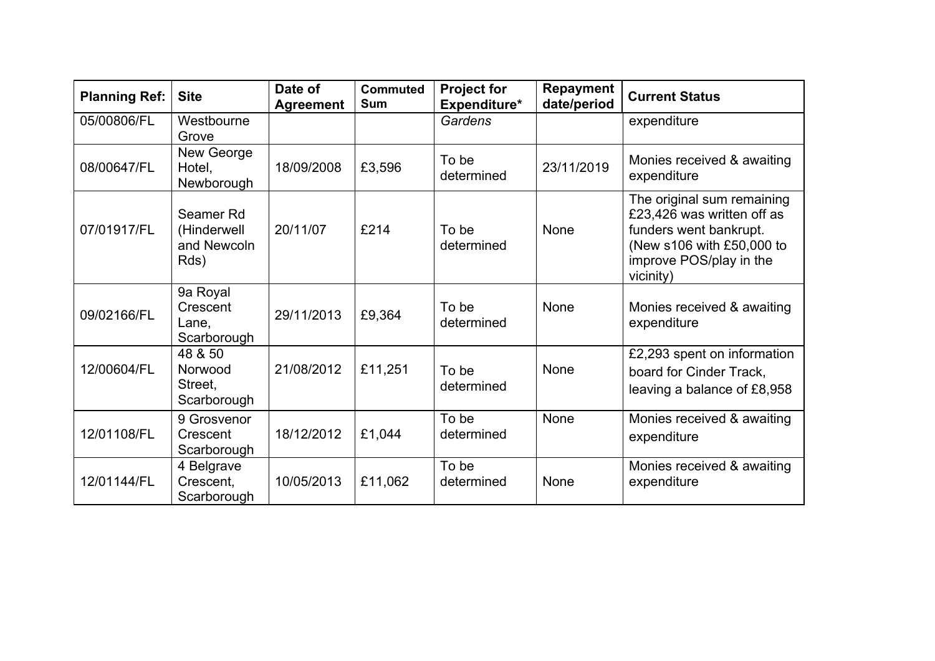| <b>Planning Ref:</b> | <b>Site</b>                                     | Date of<br><b>Agreement</b> | <b>Commuted</b><br><b>Sum</b> | <b>Project for</b><br>Expenditure* | <b>Repayment</b><br>date/period | <b>Current Status</b>                                                                                                                                   |
|----------------------|-------------------------------------------------|-----------------------------|-------------------------------|------------------------------------|---------------------------------|---------------------------------------------------------------------------------------------------------------------------------------------------------|
| 05/00806/FL          | Westbourne<br>Grove                             |                             |                               | Gardens                            |                                 | expenditure                                                                                                                                             |
| 08/00647/FL          | New George<br>Hotel,<br>Newborough              | 18/09/2008                  | £3,596                        | To be<br>determined                | 23/11/2019                      | Monies received & awaiting<br>expenditure                                                                                                               |
| 07/01917/FL          | Seamer Rd<br>(Hinderwell<br>and Newcoln<br>Rds) | 20/11/07                    | £214                          | To be<br>determined                | None                            | The original sum remaining<br>£23,426 was written off as<br>funders went bankrupt.<br>(New s106 with £50,000 to<br>improve POS/play in the<br>vicinity) |
| 09/02166/FL          | 9a Royal<br>Crescent<br>Lane,<br>Scarborough    | 29/11/2013                  | £9,364                        | To be<br>determined                | None                            | Monies received & awaiting<br>expenditure                                                                                                               |
| 12/00604/FL          | 48 & 50<br>Norwood<br>Street,<br>Scarborough    | 21/08/2012                  | £11,251                       | To be<br>determined                | None                            | £2,293 spent on information<br>board for Cinder Track,<br>leaving a balance of £8,958                                                                   |
| 12/01108/FL          | 9 Grosvenor<br>Crescent<br>Scarborough          | 18/12/2012                  | £1,044                        | To be<br>determined                | None                            | Monies received & awaiting<br>expenditure                                                                                                               |
| 12/01144/FL          | 4 Belgrave<br>Crescent,<br>Scarborough          | 10/05/2013                  | £11,062                       | To be<br>determined                | None                            | Monies received & awaiting<br>expenditure                                                                                                               |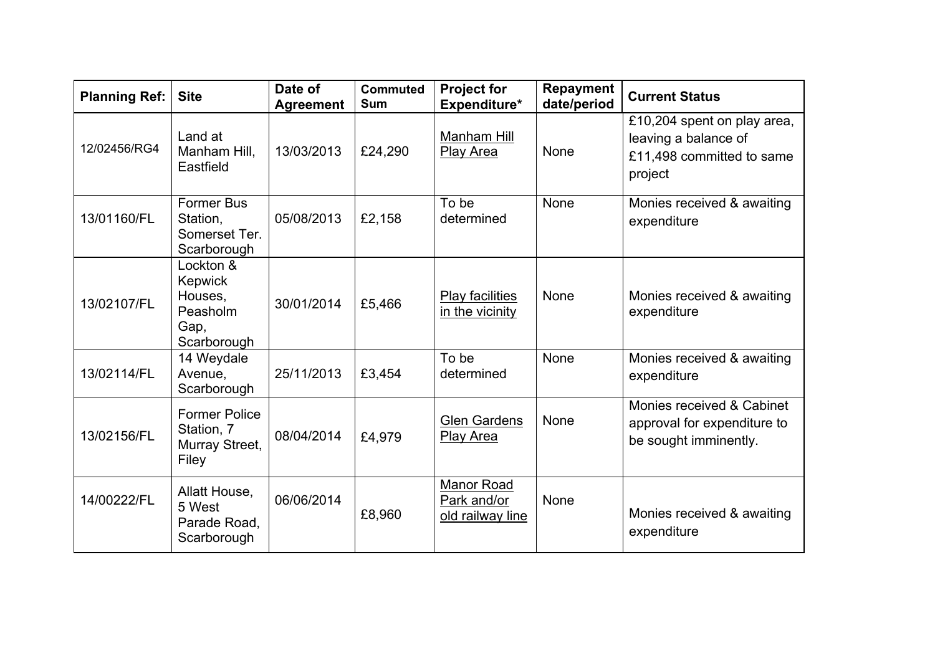| <b>Planning Ref:</b> | <b>Site</b>                                                        | Date of<br><b>Agreement</b> | <b>Commuted</b><br><b>Sum</b> | <b>Project for</b><br>Expenditure*            | <b>Repayment</b><br>date/period | <b>Current Status</b>                                                                       |
|----------------------|--------------------------------------------------------------------|-----------------------------|-------------------------------|-----------------------------------------------|---------------------------------|---------------------------------------------------------------------------------------------|
| 12/02456/RG4         | Land at<br>Manham Hill,<br>Eastfield                               | 13/03/2013                  | £24,290                       | Manham Hill<br><b>Play Area</b>               | None                            | £10,204 spent on play area,<br>leaving a balance of<br>£11,498 committed to same<br>project |
| 13/01160/FL          | <b>Former Bus</b><br>Station,<br>Somerset Ter.<br>Scarborough      | 05/08/2013                  | £2,158                        | To be<br>determined                           | None                            | Monies received & awaiting<br>expenditure                                                   |
| 13/02107/FL          | Lockton &<br>Kepwick<br>Houses,<br>Peasholm<br>Gap,<br>Scarborough | 30/01/2014                  | £5,466                        | <b>Play facilities</b><br>in the vicinity     | None                            | Monies received & awaiting<br>expenditure                                                   |
| 13/02114/FL          | 14 Weydale<br>Avenue,<br>Scarborough                               | 25/11/2013                  | £3,454                        | To be<br>determined                           | None                            | Monies received & awaiting<br>expenditure                                                   |
| 13/02156/FL          | <b>Former Police</b><br>Station, 7<br>Murray Street,<br>Filey      | 08/04/2014                  | £4,979                        | <b>Glen Gardens</b><br><b>Play Area</b>       | None                            | Monies received & Cabinet<br>approval for expenditure to<br>be sought imminently.           |
| 14/00222/FL          | Allatt House,<br>5 West<br>Parade Road,<br>Scarborough             | 06/06/2014                  | £8,960                        | Manor Road<br>Park and/or<br>old railway line | None                            | Monies received & awaiting<br>expenditure                                                   |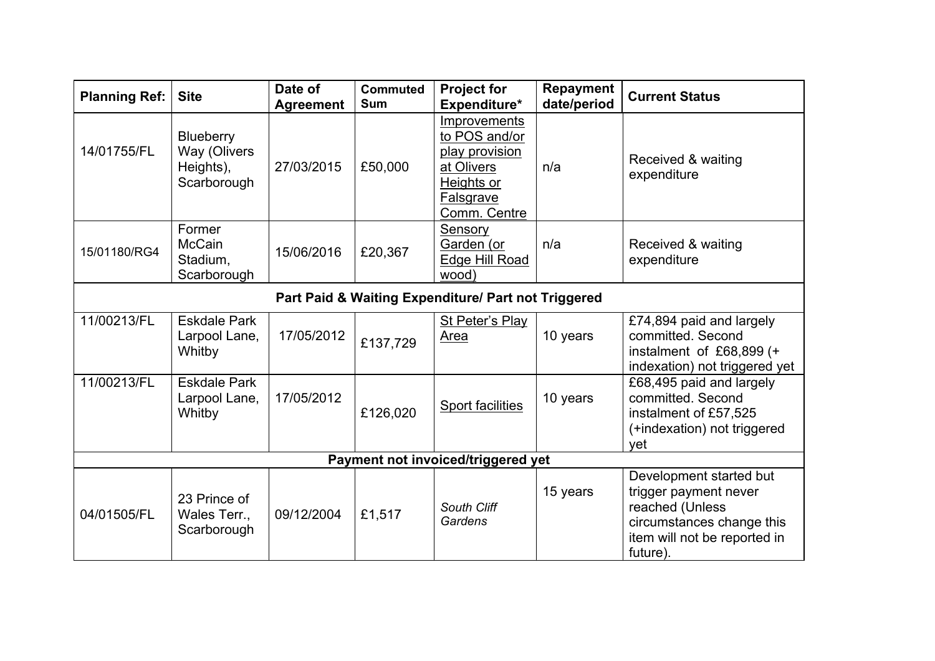| <b>Planning Ref:</b> | <b>Site</b>                                                         | Date of<br><b>Agreement</b> | <b>Commuted</b><br><b>Sum</b> | <b>Project for</b><br>Expenditure*                                                                       | <b>Repayment</b><br>date/period | <b>Current Status</b>                                                                                                                        |  |  |  |
|----------------------|---------------------------------------------------------------------|-----------------------------|-------------------------------|----------------------------------------------------------------------------------------------------------|---------------------------------|----------------------------------------------------------------------------------------------------------------------------------------------|--|--|--|
| 14/01755/FL          | <b>Blueberry</b><br><b>Way (Olivers</b><br>Heights),<br>Scarborough | 27/03/2015                  | £50,000                       | Improvements<br>to POS and/or<br>play provision<br>at Olivers<br>Heights or<br>Falsgrave<br>Comm. Centre | n/a                             | Received & waiting<br>expenditure                                                                                                            |  |  |  |
| 15/01180/RG4         | Former<br><b>McCain</b><br>Stadium,<br>Scarborough                  | 15/06/2016                  | £20,367                       | Sensory<br>Garden (or<br><b>Edge Hill Road</b><br>wood)                                                  | n/a                             | Received & waiting<br>expenditure                                                                                                            |  |  |  |
|                      | Part Paid & Waiting Expenditure/ Part not Triggered                 |                             |                               |                                                                                                          |                                 |                                                                                                                                              |  |  |  |
| 11/00213/FL          | <b>Eskdale Park</b><br>Larpool Lane,<br>Whitby                      | 17/05/2012                  | £137,729                      | <b>St Peter's Play</b><br>Area                                                                           | 10 years                        | £74,894 paid and largely<br>committed. Second<br>instalment of £68,899 (+<br>indexation) not triggered yet                                   |  |  |  |
| 11/00213/FL          | <b>Eskdale Park</b><br>Larpool Lane,<br>Whitby                      | 17/05/2012                  | £126,020                      | Sport facilities                                                                                         | 10 years                        | £68,495 paid and largely<br>committed. Second<br>instalment of £57,525<br>(+indexation) not triggered<br>vet                                 |  |  |  |
|                      |                                                                     |                             |                               | Payment not invoiced/triggered yet                                                                       |                                 |                                                                                                                                              |  |  |  |
| 04/01505/FL          | 23 Prince of<br>Wales Terr.,<br>Scarborough                         | 09/12/2004                  | £1,517                        | South Cliff<br>Gardens                                                                                   | 15 years                        | Development started but<br>trigger payment never<br>reached (Unless<br>circumstances change this<br>item will not be reported in<br>future). |  |  |  |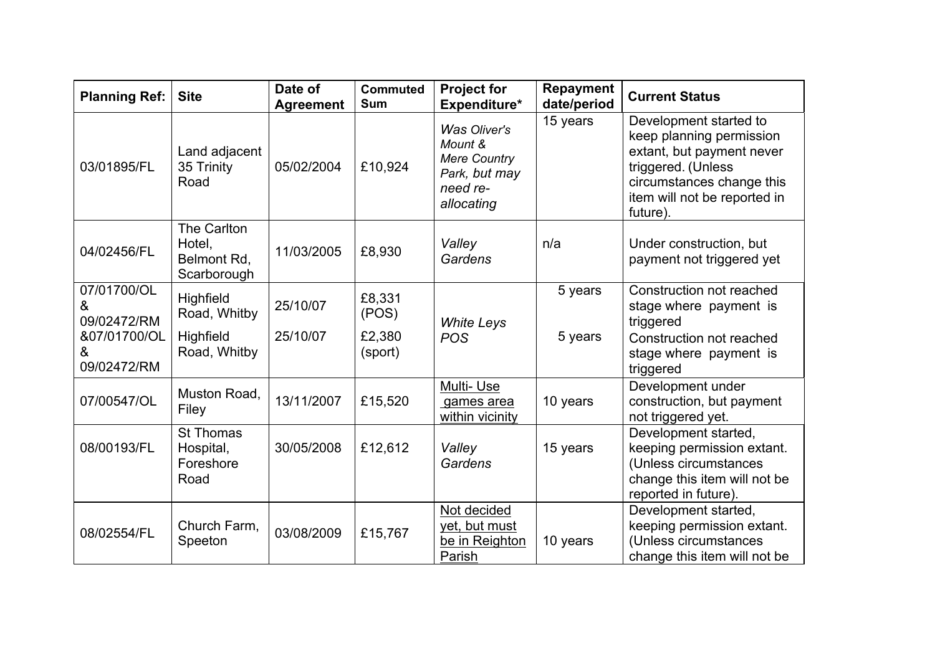| <b>Planning Ref:</b>                                                | <b>Site</b>                                                   | Date of<br><b>Agreement</b> | <b>Commuted</b><br><b>Sum</b>        | <b>Project for</b><br>Expenditure*                                                               | <b>Repayment</b><br>date/period | <b>Current Status</b>                                                                                                                                                          |
|---------------------------------------------------------------------|---------------------------------------------------------------|-----------------------------|--------------------------------------|--------------------------------------------------------------------------------------------------|---------------------------------|--------------------------------------------------------------------------------------------------------------------------------------------------------------------------------|
| 03/01895/FL                                                         | Land adjacent<br>35 Trinity<br>Road                           | 05/02/2004                  | £10,924                              | <b>Was Oliver's</b><br>Mount &<br><b>Mere Country</b><br>Park, but may<br>need re-<br>allocating | 15 years                        | Development started to<br>keep planning permission<br>extant, but payment never<br>triggered. (Unless<br>circumstances change this<br>item will not be reported in<br>future). |
| 04/02456/FL                                                         | The Carlton<br>Hotel,<br>Belmont Rd,<br>Scarborough           | 11/03/2005                  | £8,930                               | Valley<br>Gardens                                                                                | n/a                             | Under construction, but<br>payment not triggered yet                                                                                                                           |
| 07/01700/OL<br>&<br>09/02472/RM<br>&07/01700/OL<br>&<br>09/02472/RM | Highfield<br>Road, Whitby<br><b>Highfield</b><br>Road, Whitby | 25/10/07<br>25/10/07        | £8,331<br>(POS)<br>£2,380<br>(sport) | <b>White Leys</b><br><b>POS</b>                                                                  | 5 years<br>5 years              | Construction not reached<br>stage where payment is<br>triggered<br>Construction not reached<br>stage where payment is<br>triggered                                             |
| 07/00547/OL                                                         | Muston Road,<br>Filey                                         | 13/11/2007                  | £15,520                              | Multi-Use<br>games area<br>within vicinity                                                       | 10 years                        | Development under<br>construction, but payment<br>not triggered yet.                                                                                                           |
| 08/00193/FL                                                         | <b>St Thomas</b><br>Hospital,<br>Foreshore<br>Road            | 30/05/2008                  | £12,612                              | Valley<br>Gardens                                                                                | 15 years                        | Development started,<br>keeping permission extant.<br>(Unless circumstances<br>change this item will not be<br>reported in future).                                            |
| 08/02554/FL                                                         | Church Farm,<br>Speeton                                       | 03/08/2009                  | £15,767                              | Not decided<br>yet, but must<br>be in Reighton<br>Parish                                         | 10 years                        | Development started,<br>keeping permission extant.<br>(Unless circumstances<br>change this item will not be                                                                    |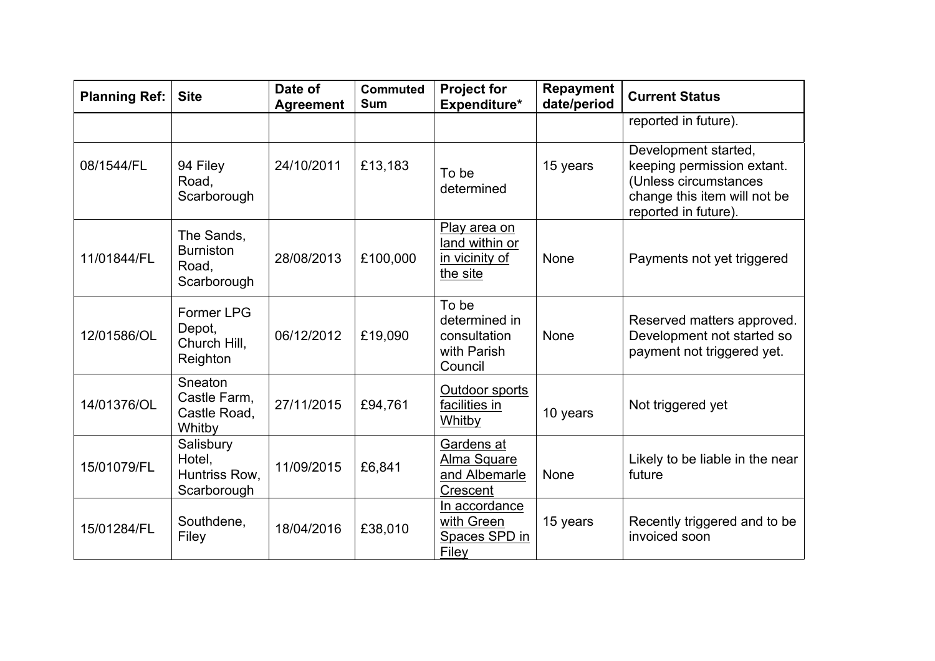| <b>Planning Ref:</b> | <b>Site</b>                                            | Date of<br><b>Agreement</b> | <b>Commuted</b><br><b>Sum</b> | <b>Project for</b><br>Expenditure*                               | <b>Repayment</b><br>date/period | <b>Current Status</b>                                                                                                               |
|----------------------|--------------------------------------------------------|-----------------------------|-------------------------------|------------------------------------------------------------------|---------------------------------|-------------------------------------------------------------------------------------------------------------------------------------|
|                      |                                                        |                             |                               |                                                                  |                                 | reported in future).                                                                                                                |
| 08/1544/FL           | 94 Filey<br>Road,<br>Scarborough                       | 24/10/2011                  | £13,183                       | To be<br>determined                                              | 15 years                        | Development started,<br>keeping permission extant.<br>(Unless circumstances<br>change this item will not be<br>reported in future). |
| 11/01844/FL          | The Sands,<br><b>Burniston</b><br>Road,<br>Scarborough | 28/08/2013                  | £100,000                      | Play area on<br>land within or<br>in vicinity of<br>the site     | None                            | Payments not yet triggered                                                                                                          |
| 12/01586/OL          | Former LPG<br>Depot,<br>Church Hill,<br>Reighton       | 06/12/2012                  | £19,090                       | To be<br>determined in<br>consultation<br>with Parish<br>Council | None                            | Reserved matters approved.<br>Development not started so<br>payment not triggered yet.                                              |
| 14/01376/OL          | Sneaton<br>Castle Farm,<br>Castle Road,<br>Whitby      | 27/11/2015                  | £94,761                       | Outdoor sports<br>facilities in<br>Whitby                        | 10 years                        | Not triggered yet                                                                                                                   |
| 15/01079/FL          | Salisbury<br>Hotel,<br>Huntriss Row,<br>Scarborough    | 11/09/2015                  | £6,841                        | Gardens at<br>Alma Square<br>and Albemarle<br>Crescent           | None                            | Likely to be liable in the near<br>future                                                                                           |
| 15/01284/FL          | Southdene,<br>Filey                                    | 18/04/2016                  | £38,010                       | In accordance<br>with Green<br>Spaces SPD in<br>Filey            | 15 years                        | Recently triggered and to be<br>invoiced soon                                                                                       |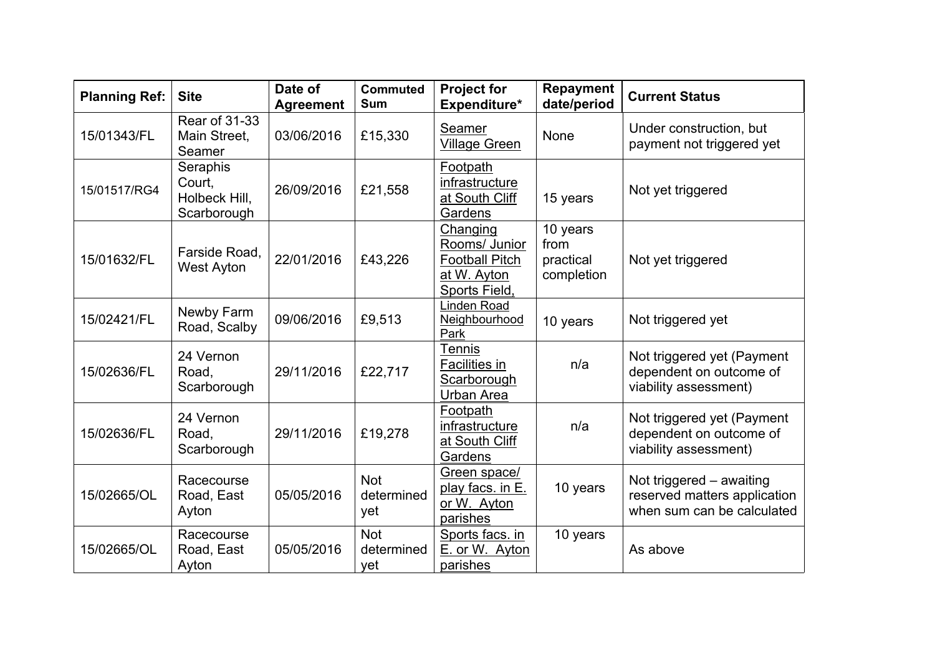| <b>Planning Ref:</b> | <b>Site</b>                                        | Date of<br><b>Agreement</b> | <b>Commuted</b><br><b>Sum</b>   | <b>Project for</b><br>Expenditure*                                                 | <b>Repayment</b><br>date/period             | <b>Current Status</b>                                                                  |
|----------------------|----------------------------------------------------|-----------------------------|---------------------------------|------------------------------------------------------------------------------------|---------------------------------------------|----------------------------------------------------------------------------------------|
| 15/01343/FL          | <b>Rear of 31-33</b><br>Main Street,<br>Seamer     | 03/06/2016                  | £15,330                         | Seamer<br><b>Village Green</b>                                                     | None                                        | Under construction, but<br>payment not triggered yet                                   |
| 15/01517/RG4         | Seraphis<br>Court,<br>Holbeck Hill,<br>Scarborough | 26/09/2016                  | £21,558                         | Footpath<br>infrastructure<br>at South Cliff<br>Gardens                            | 15 years                                    | Not yet triggered                                                                      |
| 15/01632/FL          | Farside Road,<br><b>West Ayton</b>                 | 22/01/2016                  | £43,226                         | Changing<br>Rooms/ Junior<br><b>Football Pitch</b><br>at W. Ayton<br>Sports Field, | 10 years<br>from<br>practical<br>completion | Not yet triggered                                                                      |
| 15/02421/FL          | Newby Farm<br>Road, Scalby                         | 09/06/2016                  | £9,513                          | Linden Road<br>Neighbourhood<br>Park                                               | 10 years                                    | Not triggered yet                                                                      |
| 15/02636/FL          | 24 Vernon<br>Road,<br>Scarborough                  | 29/11/2016                  | £22,717                         | Tennis<br><b>Facilities in</b><br>Scarborough<br><b>Urban Area</b>                 | n/a                                         | Not triggered yet (Payment<br>dependent on outcome of<br>viability assessment)         |
| 15/02636/FL          | 24 Vernon<br>Road,<br>Scarborough                  | 29/11/2016                  | £19,278                         | Footpath<br>infrastructure<br>at South Cliff<br>Gardens                            | n/a                                         | Not triggered yet (Payment<br>dependent on outcome of<br>viability assessment)         |
| 15/02665/OL          | Racecourse<br>Road, East<br>Ayton                  | 05/05/2016                  | <b>Not</b><br>determined<br>yet | Green space/<br>play facs. in E.<br>or W. Ayton<br>parishes                        | 10 years                                    | Not triggered - awaiting<br>reserved matters application<br>when sum can be calculated |
| 15/02665/OL          | Racecourse<br>Road, East<br>Ayton                  | 05/05/2016                  | <b>Not</b><br>determined<br>yet | Sports facs. in<br>E. or W. Ayton<br>parishes                                      | 10 years                                    | As above                                                                               |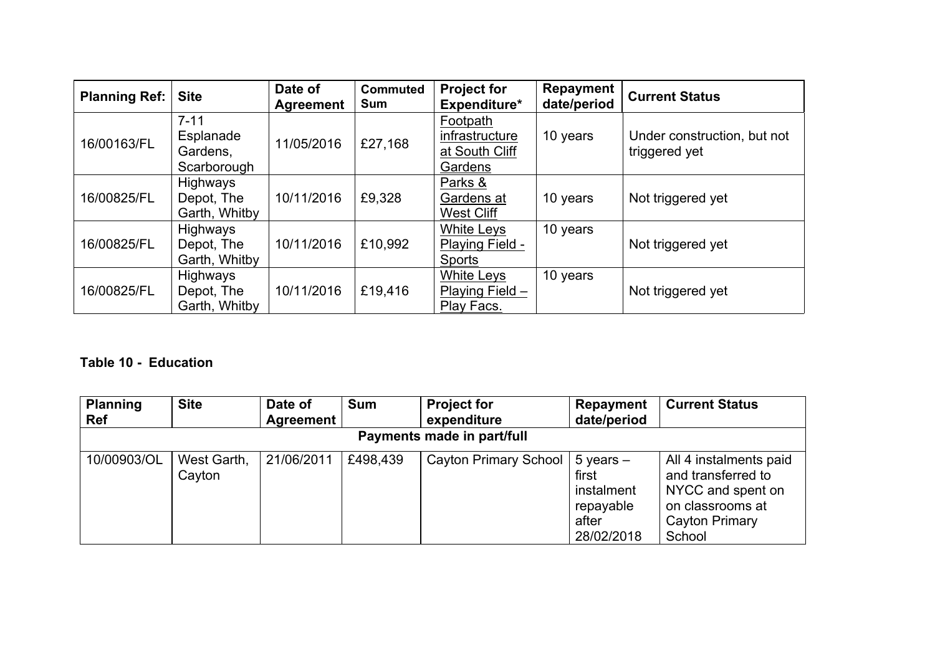| <b>Planning Ref:</b> | <b>Site</b>                                      | Date of<br>Agreement | <b>Commuted</b><br><b>Sum</b> | <b>Project for</b><br>Expenditure*                           | <b>Repayment</b><br>date/period | <b>Current Status</b>                        |
|----------------------|--------------------------------------------------|----------------------|-------------------------------|--------------------------------------------------------------|---------------------------------|----------------------------------------------|
| 16/00163/FL          | $7 - 11$<br>Esplanade<br>Gardens,<br>Scarborough | 11/05/2016           | £27,168                       | Footpath<br>infrastructure<br>at South Cliff<br>Gardens      | 10 years                        | Under construction, but not<br>triggered yet |
| 16/00825/FL          | Highways<br>Depot, The<br>Garth, Whitby          | 10/11/2016           | £9,328                        | Parks &<br>Gardens at<br><b>West Cliff</b>                   | 10 years                        | Not triggered yet                            |
| 16/00825/FL          | Highways<br>Depot, The<br>Garth, Whitby          | 10/11/2016           | £10,992                       | <b>White Leys</b><br><b>Playing Field -</b><br><b>Sports</b> | 10 years                        | Not triggered yet                            |
| 16/00825/FL          | Highways<br>Depot, The<br>Garth, Whitby          | 10/11/2016           | £19,416                       | White Leys<br>Playing Field -<br>Play Facs.                  | 10 years                        | Not triggered yet                            |

# **Table 10 - Education**

| <b>Planning</b><br><b>Ref</b> | <b>Site</b>           | Date of<br>Agreement | <b>Sum</b> | <b>Project for</b><br>expenditure | <b>Repayment</b><br>date/period                                          | <b>Current Status</b>                                                                                             |  |  |  |
|-------------------------------|-----------------------|----------------------|------------|-----------------------------------|--------------------------------------------------------------------------|-------------------------------------------------------------------------------------------------------------------|--|--|--|
| Payments made in part/full    |                       |                      |            |                                   |                                                                          |                                                                                                                   |  |  |  |
| 10/00903/OL                   | West Garth,<br>Cayton | 21/06/2011           | £498,439   | <b>Cayton Primary School</b>      | $5$ years $-$<br>first<br>instalment<br>repayable<br>after<br>28/02/2018 | All 4 instalments paid<br>and transferred to<br>NYCC and spent on<br>on classrooms at<br>Cayton Primary<br>School |  |  |  |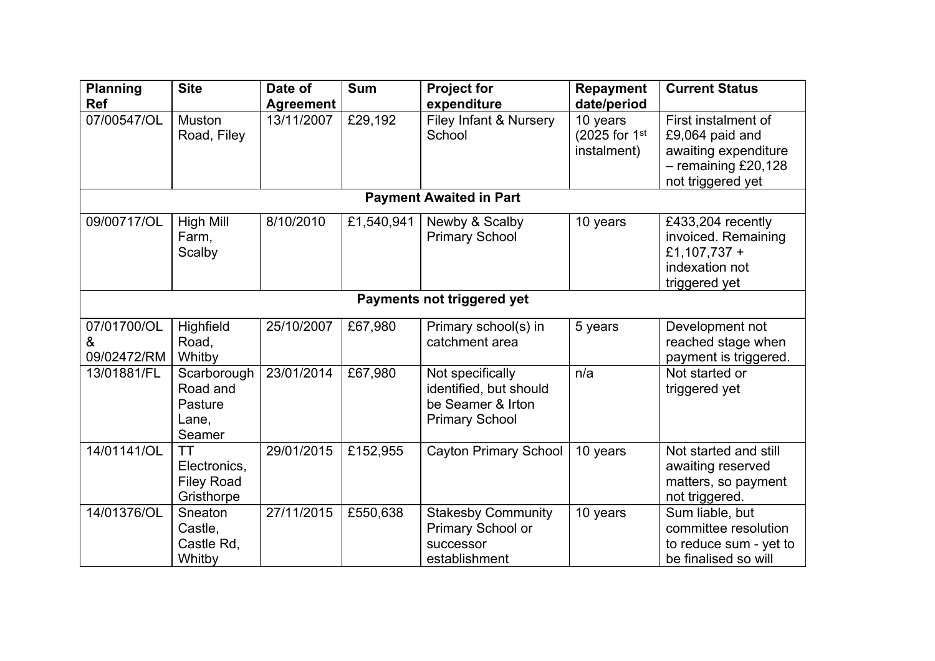| <b>Planning</b><br><b>Ref</b>   | <b>Site</b>                                                  | Date of<br><b>Agreement</b> | <b>Sum</b> | <b>Project for</b><br>expenditure                                                        | <b>Repayment</b><br>date/period          | <b>Current Status</b>                                                                                        |  |  |  |
|---------------------------------|--------------------------------------------------------------|-----------------------------|------------|------------------------------------------------------------------------------------------|------------------------------------------|--------------------------------------------------------------------------------------------------------------|--|--|--|
| 07/00547/OL                     | <b>Muston</b><br>Road, Filey                                 | 13/11/2007                  | £29,192    | Filey Infant & Nursery<br>School                                                         | 10 years<br>(2025 for 1st<br>instalment) | First instalment of<br>£9,064 paid and<br>awaiting expenditure<br>$-$ remaining £20,128<br>not triggered yet |  |  |  |
|                                 |                                                              |                             |            | <b>Payment Awaited in Part</b>                                                           |                                          |                                                                                                              |  |  |  |
| 09/00717/OL                     | <b>High Mill</b><br>Farm,<br>Scalby                          | 8/10/2010                   | £1,540,941 | Newby & Scalby<br><b>Primary School</b>                                                  | 10 years                                 | £433,204 recently<br>invoiced. Remaining<br>£1,107,737 +<br>indexation not<br>triggered yet                  |  |  |  |
|                                 | Payments not triggered yet                                   |                             |            |                                                                                          |                                          |                                                                                                              |  |  |  |
| 07/01700/OL<br>&<br>09/02472/RM | Highfield<br>Road,<br>Whitby                                 | 25/10/2007                  | £67,980    | Primary school(s) in<br>catchment area                                                   | 5 years                                  | Development not<br>reached stage when<br>payment is triggered.                                               |  |  |  |
| 13/01881/FL                     | Scarborough<br>Road and<br>Pasture<br>Lane,<br>Seamer        | 23/01/2014                  | £67,980    | Not specifically<br>identified, but should<br>be Seamer & Irton<br><b>Primary School</b> | n/a                                      | Not started or<br>triggered yet                                                                              |  |  |  |
| 14/01141/OL                     | <b>TT</b><br>Electronics,<br><b>Filey Road</b><br>Gristhorpe | 29/01/2015                  | £152,955   | <b>Cayton Primary School</b>                                                             | 10 years                                 | Not started and still<br>awaiting reserved<br>matters, so payment<br>not triggered.                          |  |  |  |
| 14/01376/OL                     | Sneaton<br>Castle,<br>Castle Rd,<br>Whitby                   | 27/11/2015                  | £550,638   | <b>Stakesby Community</b><br>Primary School or<br>successor<br>establishment             | 10 years                                 | Sum liable, but<br>committee resolution<br>to reduce sum - yet to<br>be finalised so will                    |  |  |  |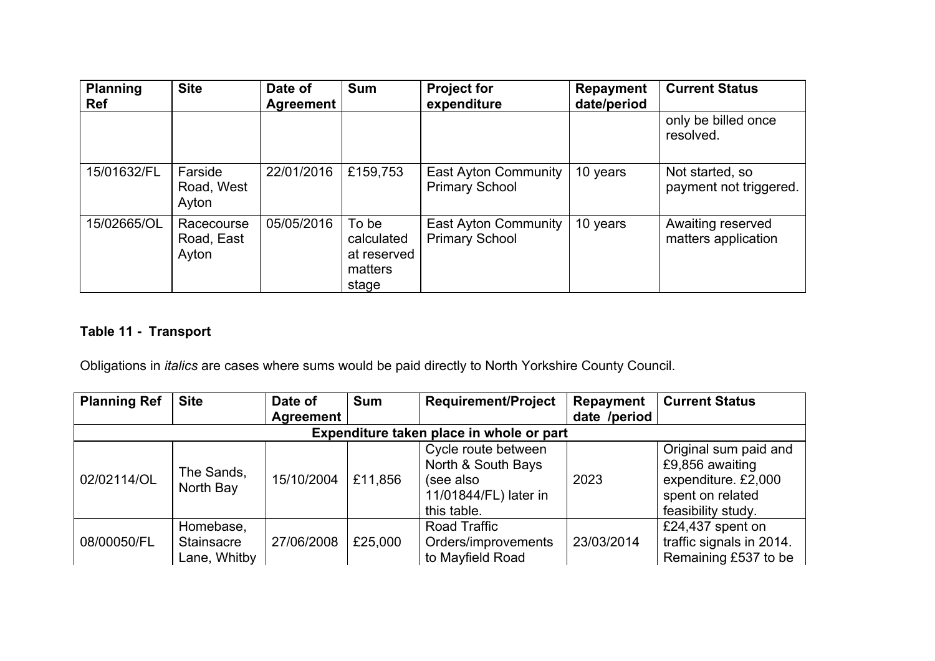| <b>Planning</b><br><b>Ref</b> | <b>Site</b>                       | Date of<br>Agreement | <b>Sum</b>                                             | <b>Project for</b><br>expenditure                    | Repayment<br>date/period | <b>Current Status</b>                     |
|-------------------------------|-----------------------------------|----------------------|--------------------------------------------------------|------------------------------------------------------|--------------------------|-------------------------------------------|
|                               |                                   |                      |                                                        |                                                      |                          | only be billed once<br>resolved.          |
| 15/01632/FL                   | Farside<br>Road, West<br>Ayton    | 22/01/2016           | £159,753                                               | <b>East Ayton Community</b><br><b>Primary School</b> | 10 years                 | Not started, so<br>payment not triggered. |
| 15/02665/OL                   | Racecourse<br>Road, East<br>Ayton | 05/05/2016           | To be<br>calculated<br>at reserved<br>matters<br>stage | East Ayton Community<br><b>Primary School</b>        | 10 years                 | Awaiting reserved<br>matters application  |

# **Table 11 - Transport**

Obligations in *italics* are cases where sums would be paid directly to North Yorkshire County Council.

| <b>Planning Ref</b>                      | <b>Site</b>                             | Date of    | <b>Sum</b> | <b>Requirement/Project</b>                                                                     | Repayment    | <b>Current Status</b>                                                                                     |  |  |  |
|------------------------------------------|-----------------------------------------|------------|------------|------------------------------------------------------------------------------------------------|--------------|-----------------------------------------------------------------------------------------------------------|--|--|--|
|                                          |                                         | Agreement  |            |                                                                                                | date /period |                                                                                                           |  |  |  |
| Expenditure taken place in whole or part |                                         |            |            |                                                                                                |              |                                                                                                           |  |  |  |
| 02/02114/OL                              | The Sands,<br>North Bay                 | 15/10/2004 | £11,856    | Cycle route between<br>North & South Bays<br>(see also<br>11/01844/FL) later in<br>this table. | 2023         | Original sum paid and<br>£9,856 awaiting<br>expenditure. £2,000<br>spent on related<br>feasibility study. |  |  |  |
| 08/00050/FL                              | Homebase,<br>Stainsacre<br>Lane, Whitby | 27/06/2008 | £25,000    | Road Traffic<br>Orders/improvements<br>to Mayfield Road                                        | 23/03/2014   | £24,437 spent on<br>traffic signals in 2014.<br>Remaining £537 to be                                      |  |  |  |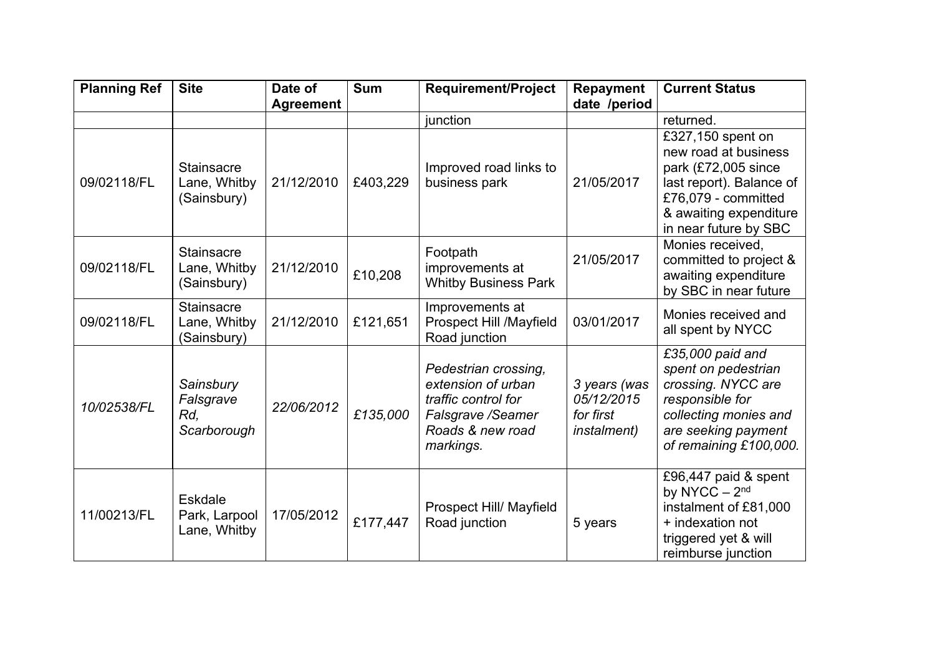| <b>Planning Ref</b> | <b>Site</b>       | Date of          | <b>Sum</b> | <b>Requirement/Project</b>               | <b>Repayment</b>    | <b>Current Status</b>                         |
|---------------------|-------------------|------------------|------------|------------------------------------------|---------------------|-----------------------------------------------|
|                     |                   | <b>Agreement</b> |            |                                          | date /period        |                                               |
|                     |                   |                  |            | junction                                 |                     | returned.                                     |
|                     |                   |                  |            |                                          |                     | £327,150 spent on                             |
|                     |                   |                  |            |                                          |                     | new road at business                          |
|                     | <b>Stainsacre</b> |                  |            | Improved road links to                   |                     | park (£72,005 since                           |
| 09/02118/FL         | Lane, Whitby      | 21/12/2010       | £403,229   | business park                            | 21/05/2017          | last report). Balance of                      |
|                     | (Sainsbury)       |                  |            |                                          |                     | £76,079 - committed                           |
|                     |                   |                  |            |                                          |                     | & awaiting expenditure                        |
|                     |                   |                  |            |                                          |                     | in near future by SBC                         |
|                     | Stainsacre        |                  |            | Footpath                                 |                     | Monies received,                              |
| 09/02118/FL         | Lane, Whitby      | 21/12/2010       |            | improvements at                          | 21/05/2017          | committed to project &                        |
|                     | (Sainsbury)       |                  | £10,208    | <b>Whitby Business Park</b>              |                     | awaiting expenditure<br>by SBC in near future |
|                     | <b>Stainsacre</b> |                  |            | Improvements at                          |                     |                                               |
| 09/02118/FL         | Lane, Whitby      | 21/12/2010       | £121,651   | Prospect Hill /Mayfield                  | 03/01/2017          | Monies received and                           |
|                     | (Sainsbury)       |                  |            | Road junction                            |                     | all spent by NYCC                             |
|                     |                   |                  |            |                                          |                     | £35,000 paid and                              |
|                     |                   |                  |            | Pedestrian crossing,                     |                     | spent on pedestrian                           |
|                     | Sainsbury         |                  |            | extension of urban                       | 3 years (was        | crossing. NYCC are                            |
| 10/02538/FL         | Falsgrave         | 22/06/2012       |            | traffic control for                      | 05/12/2015          | responsible for                               |
|                     | Rd,               |                  | £135,000   | Falsgrave / Seamer                       | for first           | collecting monies and                         |
|                     | Scarborough       |                  |            | Roads & new road                         | <i>instalment</i> ) | are seeking payment                           |
|                     |                   |                  |            | markings.                                |                     | of remaining £100,000.                        |
|                     |                   |                  |            |                                          |                     |                                               |
|                     |                   |                  |            |                                          |                     | £96,447 paid & spent                          |
|                     | Eskdale           |                  |            |                                          |                     | by NYCC - 2 <sup>nd</sup>                     |
| 11/00213/FL         | Park, Larpool     | 17/05/2012       | £177,447   | Prospect Hill/ Mayfield<br>Road junction | 5 years             | instalment of £81,000<br>+ indexation not     |
|                     | Lane, Whitby      |                  |            |                                          |                     | triggered yet & will                          |
|                     |                   |                  |            |                                          |                     | reimburse junction                            |
|                     |                   |                  |            |                                          |                     |                                               |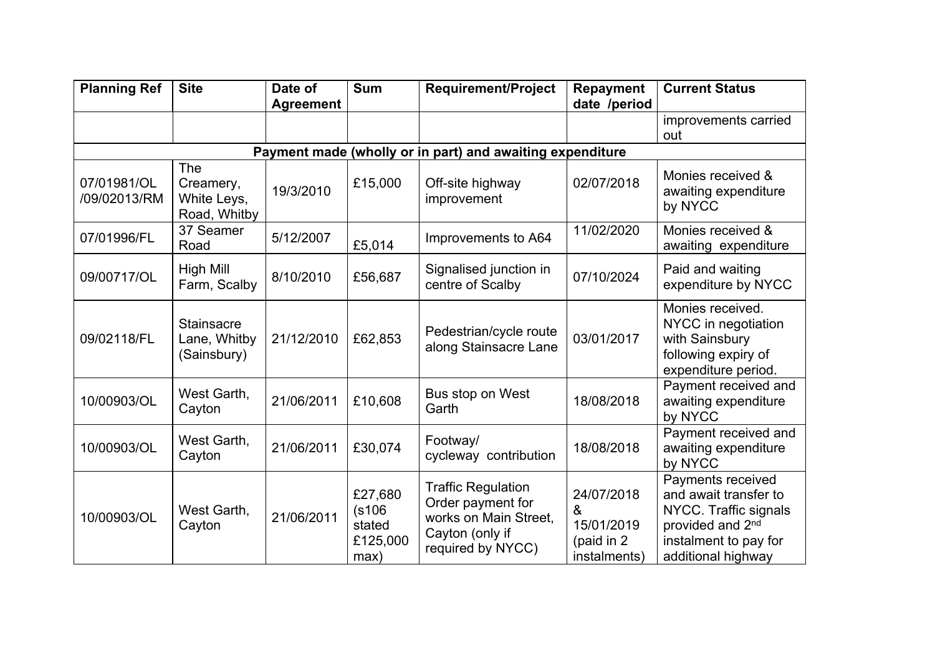| <b>Planning Ref</b>                                       | <b>Site</b>                                      | Date of          | <b>Sum</b>                                      | <b>Requirement/Project</b>                                                                                      | <b>Repayment</b>                                            | <b>Current Status</b>                                                                                                                              |  |  |  |  |
|-----------------------------------------------------------|--------------------------------------------------|------------------|-------------------------------------------------|-----------------------------------------------------------------------------------------------------------------|-------------------------------------------------------------|----------------------------------------------------------------------------------------------------------------------------------------------------|--|--|--|--|
|                                                           |                                                  | <b>Agreement</b> |                                                 |                                                                                                                 | date /period                                                | improvements carried                                                                                                                               |  |  |  |  |
|                                                           |                                                  |                  |                                                 |                                                                                                                 |                                                             | out                                                                                                                                                |  |  |  |  |
| Payment made (wholly or in part) and awaiting expenditure |                                                  |                  |                                                 |                                                                                                                 |                                                             |                                                                                                                                                    |  |  |  |  |
| 07/01981/OL<br>/09/02013/RM                               | The<br>Creamery,<br>White Leys,<br>Road, Whitby  | 19/3/2010        | £15,000                                         | Off-site highway<br>improvement                                                                                 | 02/07/2018                                                  | Monies received &<br>awaiting expenditure<br>by NYCC                                                                                               |  |  |  |  |
| 07/01996/FL                                               | 37 Seamer<br>Road                                | 5/12/2007        | £5,014                                          | Improvements to A64                                                                                             | 11/02/2020                                                  | Monies received &<br>awaiting expenditure                                                                                                          |  |  |  |  |
| 09/00717/OL                                               | High Mill<br>Farm, Scalby                        | 8/10/2010        | £56,687                                         | Signalised junction in<br>centre of Scalby                                                                      | 07/10/2024                                                  | Paid and waiting<br>expenditure by NYCC                                                                                                            |  |  |  |  |
| 09/02118/FL                                               | <b>Stainsacre</b><br>Lane, Whitby<br>(Sainsbury) | 21/12/2010       | £62,853                                         | Pedestrian/cycle route<br>along Stainsacre Lane                                                                 | 03/01/2017                                                  | Monies received.<br>NYCC in negotiation<br>with Sainsbury<br>following expiry of<br>expenditure period.                                            |  |  |  |  |
| 10/00903/OL                                               | West Garth,<br>Cayton                            | 21/06/2011       | £10,608                                         | Bus stop on West<br>Garth                                                                                       | 18/08/2018                                                  | Payment received and<br>awaiting expenditure<br>by NYCC                                                                                            |  |  |  |  |
| 10/00903/OL                                               | West Garth,<br>Cayton                            | 21/06/2011       | £30,074                                         | Footway/<br>cycleway contribution                                                                               | 18/08/2018                                                  | Payment received and<br>awaiting expenditure<br>by NYCC                                                                                            |  |  |  |  |
| 10/00903/OL                                               | West Garth,<br>Cayton                            | 21/06/2011       | £27,680<br>(s106)<br>stated<br>£125,000<br>max) | <b>Traffic Regulation</b><br>Order payment for<br>works on Main Street,<br>Cayton (only if<br>required by NYCC) | 24/07/2018<br>&<br>15/01/2019<br>(paid in 2<br>instalments) | Payments received<br>and await transfer to<br>NYCC. Traffic signals<br>provided and 2 <sup>nd</sup><br>instalment to pay for<br>additional highway |  |  |  |  |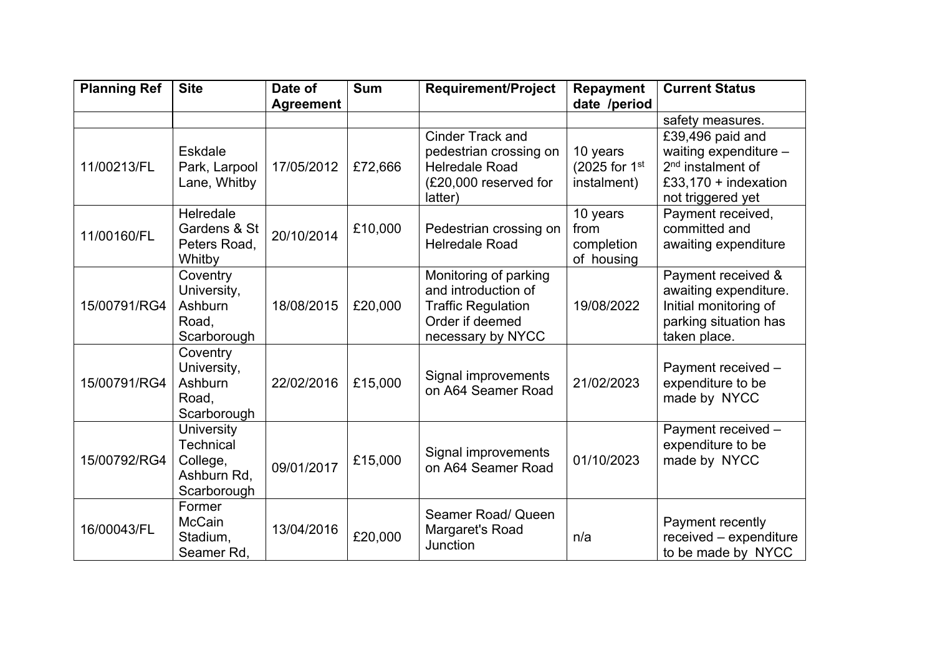| <b>Planning Ref</b> | <b>Site</b>                                                                     | Date of<br><b>Agreement</b> | <b>Sum</b> | <b>Requirement/Project</b>                                                                                        | <b>Repayment</b><br>date /period             | <b>Current Status</b>                                                                                                   |
|---------------------|---------------------------------------------------------------------------------|-----------------------------|------------|-------------------------------------------------------------------------------------------------------------------|----------------------------------------------|-------------------------------------------------------------------------------------------------------------------------|
|                     |                                                                                 |                             |            |                                                                                                                   |                                              | safety measures.                                                                                                        |
| 11/00213/FL         | Eskdale<br>Park, Larpool<br>Lane, Whitby                                        | 17/05/2012                  | £72,666    | Cinder Track and<br>pedestrian crossing on<br><b>Helredale Road</b><br>(£20,000 reserved for<br>latter)           | 10 years<br>(2025 for 1st<br>instalment)     | £39,496 paid and<br>waiting expenditure -<br>2 <sup>nd</sup> instalment of<br>£33,170 + indexation<br>not triggered yet |
| 11/00160/FL         | Helredale<br>Gardens & St<br>Peters Road,<br>Whitby                             | 20/10/2014                  | £10,000    | Pedestrian crossing on<br><b>Helredale Road</b>                                                                   | 10 years<br>from<br>completion<br>of housing | Payment received,<br>committed and<br>awaiting expenditure                                                              |
| 15/00791/RG4        | Coventry<br>University,<br>Ashburn<br>Road,<br>Scarborough                      | 18/08/2015                  | £20,000    | Monitoring of parking<br>and introduction of<br><b>Traffic Regulation</b><br>Order if deemed<br>necessary by NYCC | 19/08/2022                                   | Payment received &<br>awaiting expenditure.<br>Initial monitoring of<br>parking situation has<br>taken place.           |
| 15/00791/RG4        | Coventry<br>University,<br>Ashburn<br>Road,<br>Scarborough                      | 22/02/2016                  | £15,000    | Signal improvements<br>on A64 Seamer Road                                                                         | 21/02/2023                                   | Payment received -<br>expenditure to be<br>made by NYCC                                                                 |
| 15/00792/RG4        | <b>University</b><br><b>Technical</b><br>College,<br>Ashburn Rd,<br>Scarborough | 09/01/2017                  | £15,000    | Signal improvements<br>on A64 Seamer Road                                                                         | 01/10/2023                                   | Payment received -<br>expenditure to be<br>made by NYCC                                                                 |
| 16/00043/FL         | Former<br><b>McCain</b><br>Stadium,<br>Seamer Rd,                               | 13/04/2016                  | £20,000    | Seamer Road/ Queen<br>Margaret's Road<br>Junction                                                                 | n/a                                          | Payment recently<br>received - expenditure<br>to be made by NYCC                                                        |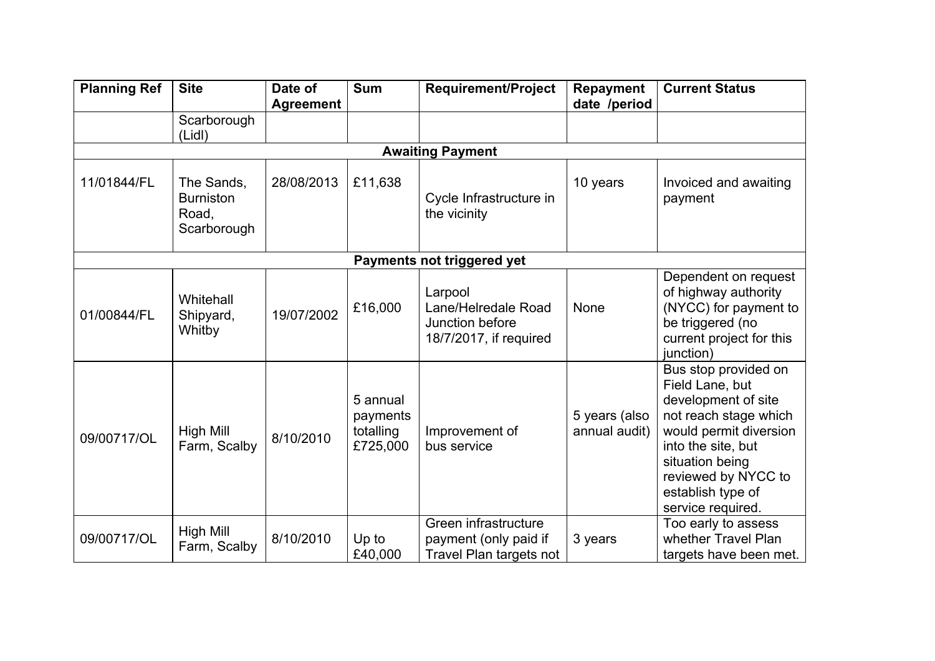| <b>Planning Ref</b>        | <b>Site</b>                                            | Date of<br><b>Agreement</b> | <b>Sum</b>                                    | <b>Requirement/Project</b>                                                  | <b>Repayment</b><br>date /period | <b>Current Status</b>                                                                                                                                                                                                       |  |  |  |
|----------------------------|--------------------------------------------------------|-----------------------------|-----------------------------------------------|-----------------------------------------------------------------------------|----------------------------------|-----------------------------------------------------------------------------------------------------------------------------------------------------------------------------------------------------------------------------|--|--|--|
|                            | Scarborough<br>(Lidl)                                  |                             |                                               |                                                                             |                                  |                                                                                                                                                                                                                             |  |  |  |
|                            |                                                        |                             |                                               | <b>Awaiting Payment</b>                                                     |                                  |                                                                                                                                                                                                                             |  |  |  |
| 11/01844/FL                | The Sands,<br><b>Burniston</b><br>Road,<br>Scarborough | 28/08/2013                  | £11,638                                       | Cycle Infrastructure in<br>the vicinity                                     | 10 years                         | Invoiced and awaiting<br>payment                                                                                                                                                                                            |  |  |  |
| Payments not triggered yet |                                                        |                             |                                               |                                                                             |                                  |                                                                                                                                                                                                                             |  |  |  |
| 01/00844/FL                | Whitehall<br>Shipyard,<br>Whitby                       | 19/07/2002                  | £16,000                                       | Larpool<br>Lane/Helredale Road<br>Junction before<br>18/7/2017, if required | None                             | Dependent on request<br>of highway authority<br>(NYCC) for payment to<br>be triggered (no<br>current project for this<br>junction)                                                                                          |  |  |  |
| 09/00717/OL                | High Mill<br>Farm, Scalby                              | 8/10/2010                   | 5 annual<br>payments<br>totalling<br>£725,000 | Improvement of<br>bus service                                               | 5 years (also<br>annual audit)   | Bus stop provided on<br>Field Lane, but<br>development of site<br>not reach stage which<br>would permit diversion<br>into the site, but<br>situation being<br>reviewed by NYCC to<br>establish type of<br>service required. |  |  |  |
| 09/00717/OL                | High Mill<br>Farm, Scalby                              | 8/10/2010                   | Up to<br>£40,000                              | Green infrastructure<br>payment (only paid if<br>Travel Plan targets not    | 3 years                          | Too early to assess<br>whether Travel Plan<br>targets have been met.                                                                                                                                                        |  |  |  |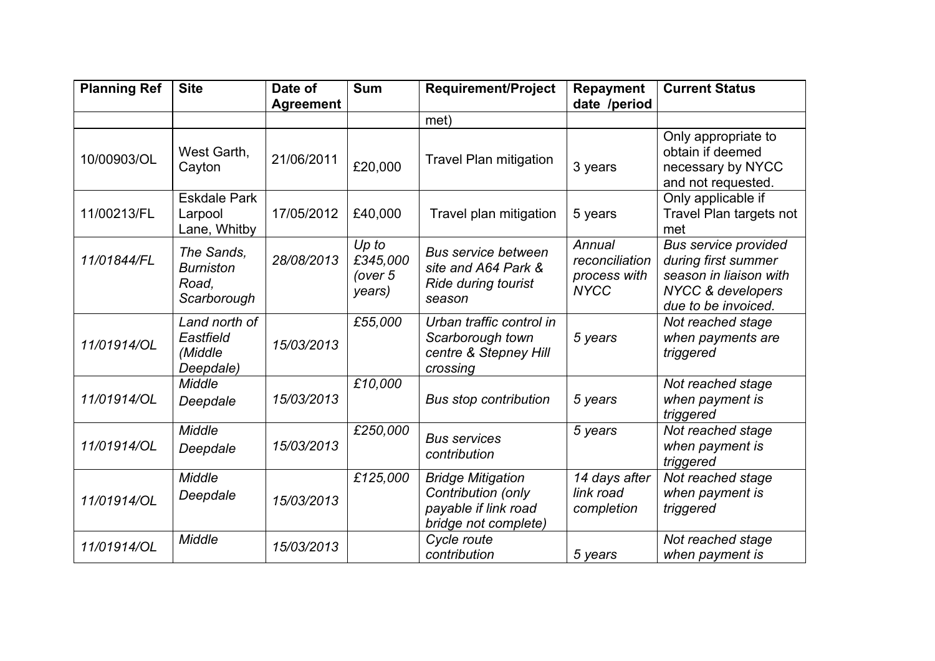| <b>Planning Ref</b> | <b>Site</b>                                            | Date of          | <b>Sum</b>                             | <b>Requirement/Project</b>                                                                     | <b>Repayment</b>                                        | <b>Current Status</b>                                                                                                               |
|---------------------|--------------------------------------------------------|------------------|----------------------------------------|------------------------------------------------------------------------------------------------|---------------------------------------------------------|-------------------------------------------------------------------------------------------------------------------------------------|
|                     |                                                        | <b>Agreement</b> |                                        |                                                                                                | date /period                                            |                                                                                                                                     |
|                     |                                                        |                  |                                        | met)                                                                                           |                                                         |                                                                                                                                     |
| 10/00903/OL         | West Garth,<br>Cayton                                  | 21/06/2011       | £20,000                                | <b>Travel Plan mitigation</b>                                                                  | 3 years                                                 | Only appropriate to<br>obtain if deemed<br>necessary by NYCC<br>and not requested.                                                  |
| 11/00213/FL         | <b>Eskdale Park</b><br>Larpool<br>Lane, Whitby         | 17/05/2012       | £40,000                                | Travel plan mitigation                                                                         | 5 years                                                 | Only applicable if<br>Travel Plan targets not<br>met                                                                                |
| 11/01844/FL         | The Sands,<br><b>Burniston</b><br>Road,<br>Scarborough | 28/08/2013       | Up to<br>£345,000<br>(over 5<br>years) | <b>Bus service between</b><br>site and A64 Park &<br>Ride during tourist<br>season             | Annual<br>reconciliation<br>process with<br><b>NYCC</b> | <b>Bus service provided</b><br>during first summer<br>season in liaison with<br><b>NYCC &amp; developers</b><br>due to be invoiced. |
| 11/01914/OL         | Land north of<br>Eastfield<br>(Middle<br>Deepdale)     | 15/03/2013       | £55,000                                | Urban traffic control in<br>Scarborough town<br>centre & Stepney Hill<br>crossing              | 5 years                                                 | Not reached stage<br>when payments are<br>triggered                                                                                 |
| 11/01914/OL         | Middle<br>Deepdale                                     | 15/03/2013       | £10,000                                | <b>Bus stop contribution</b>                                                                   | 5 years                                                 | Not reached stage<br>when payment is<br>triggered                                                                                   |
| 11/01914/OL         | Middle<br>Deepdale                                     | 15/03/2013       | £250,000                               | <b>Bus services</b><br>contribution                                                            | 5 years                                                 | Not reached stage<br>when payment is<br>triggered                                                                                   |
| 11/01914/OL         | Middle<br>Deepdale                                     | 15/03/2013       | £125,000                               | <b>Bridge Mitigation</b><br>Contribution (only<br>payable if link road<br>bridge not complete) | 14 days after<br>link road<br>completion                | Not reached stage<br>when payment is<br>triggered                                                                                   |
| 11/01914/OL         | Middle                                                 | 15/03/2013       |                                        | Cycle route<br>contribution                                                                    | 5 years                                                 | Not reached stage<br>when payment is                                                                                                |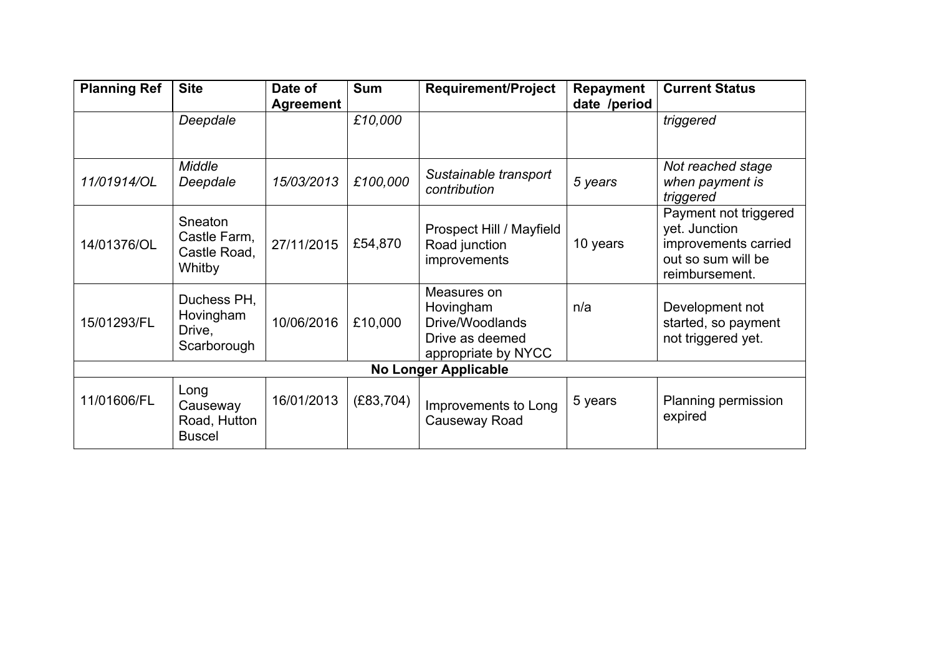| <b>Planning Ref</b>         | <b>Site</b>                                       | Date of<br><b>Agreement</b> | <b>Sum</b> | <b>Requirement/Project</b>                                                            | <b>Repayment</b><br>date /period | <b>Current Status</b>                                                                                  |  |  |
|-----------------------------|---------------------------------------------------|-----------------------------|------------|---------------------------------------------------------------------------------------|----------------------------------|--------------------------------------------------------------------------------------------------------|--|--|
|                             | Deepdale                                          |                             | £10,000    |                                                                                       |                                  | triggered                                                                                              |  |  |
| 11/01914/OL                 | Middle<br>Deepdale                                | 15/03/2013                  | £100,000   | Sustainable transport<br>contribution                                                 | 5 years                          | Not reached stage<br>when payment is<br>triggered                                                      |  |  |
| 14/01376/OL                 | Sneaton<br>Castle Farm,<br>Castle Road,<br>Whitby | 27/11/2015                  | £54,870    | Prospect Hill / Mayfield<br>Road junction<br><i>improvements</i>                      | 10 years                         | Payment not triggered<br>yet. Junction<br>improvements carried<br>out so sum will be<br>reimbursement. |  |  |
| 15/01293/FL                 | Duchess PH,<br>Hovingham<br>Drive,<br>Scarborough | 10/06/2016                  | £10,000    | Measures on<br>Hovingham<br>Drive/Woodlands<br>Drive as deemed<br>appropriate by NYCC | n/a                              | Development not<br>started, so payment<br>not triggered yet.                                           |  |  |
| <b>No Longer Applicable</b> |                                                   |                             |            |                                                                                       |                                  |                                                                                                        |  |  |
| 11/01606/FL                 | Long<br>Causeway<br>Road, Hutton<br><b>Buscel</b> | 16/01/2013                  | (E83, 704) | Improvements to Long<br>Causeway Road                                                 | 5 years                          | Planning permission<br>expired                                                                         |  |  |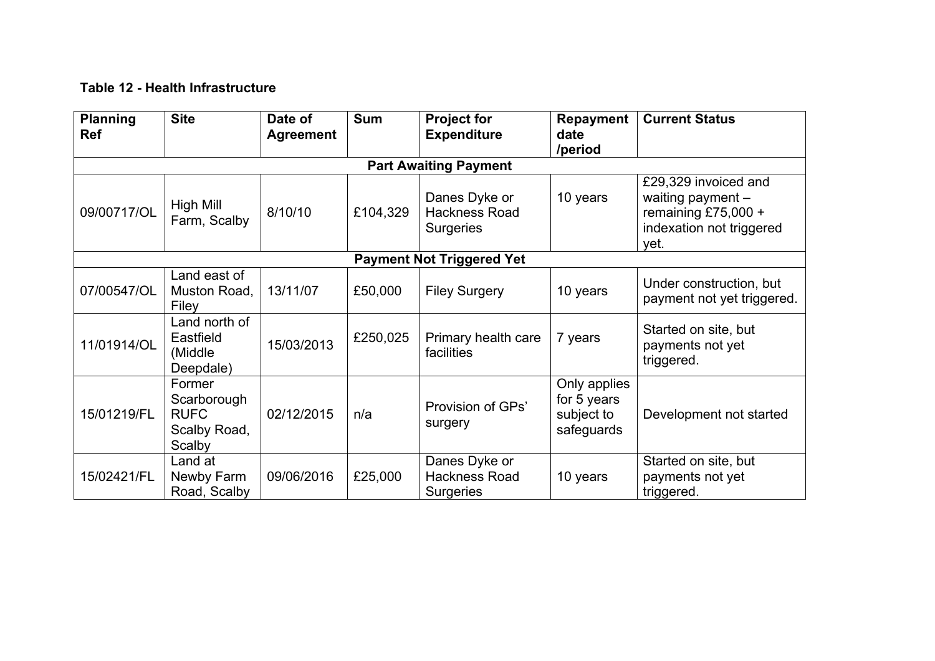# **Table 12 - Health Infrastructure**

| <b>Planning</b><br><b>Ref</b>    | <b>Site</b>                                                    | Date of<br><b>Agreement</b> | <b>Sum</b> | <b>Project for</b><br><b>Expenditure</b>                  | <b>Repayment</b><br>date<br>/period                     | <b>Current Status</b>                                                                                  |  |
|----------------------------------|----------------------------------------------------------------|-----------------------------|------------|-----------------------------------------------------------|---------------------------------------------------------|--------------------------------------------------------------------------------------------------------|--|
| <b>Part Awaiting Payment</b>     |                                                                |                             |            |                                                           |                                                         |                                                                                                        |  |
| 09/00717/OL                      | <b>High Mill</b><br>Farm, Scalby                               | 8/10/10                     | £104,329   | Danes Dyke or<br><b>Hackness Road</b><br><b>Surgeries</b> | 10 years                                                | £29,329 invoiced and<br>waiting payment $-$<br>remaining £75,000 +<br>indexation not triggered<br>yet. |  |
| <b>Payment Not Triggered Yet</b> |                                                                |                             |            |                                                           |                                                         |                                                                                                        |  |
| 07/00547/OL                      | Land east of<br>Muston Road,<br>Filey                          | 13/11/07                    | £50,000    | <b>Filey Surgery</b>                                      | 10 years                                                | Under construction, but<br>payment not yet triggered.                                                  |  |
| 11/01914/OL                      | Land north of<br>Eastfield<br>(Middle)<br>Deepdale)            | 15/03/2013                  | £250,025   | Primary health care<br>facilities                         | 7 years                                                 | Started on site, but<br>payments not yet<br>triggered.                                                 |  |
| 15/01219/FL                      | Former<br>Scarborough<br><b>RUFC</b><br>Scalby Road,<br>Scalby | 02/12/2015                  | n/a        | Provision of GPs'<br>surgery                              | Only applies<br>for 5 years<br>subject to<br>safeguards | Development not started                                                                                |  |
| 15/02421/FL                      | Land at<br>Newby Farm<br>Road, Scalby                          | 09/06/2016                  | £25,000    | Danes Dyke or<br>Hackness Road<br><b>Surgeries</b>        | 10 years                                                | Started on site, but<br>payments not yet<br>triggered.                                                 |  |